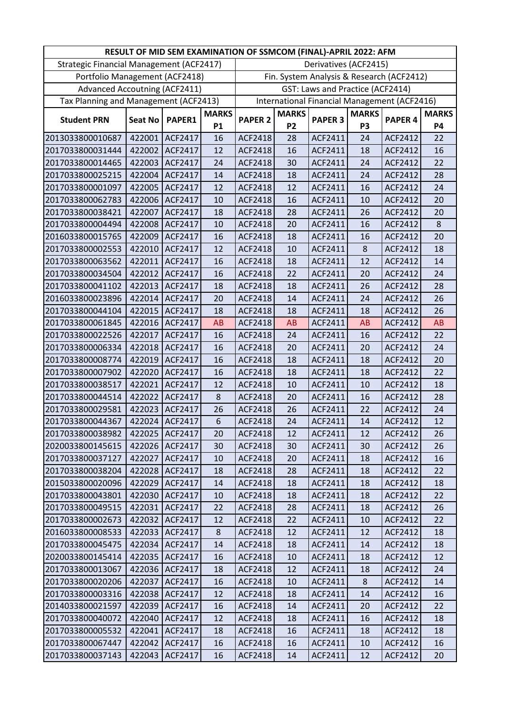|                                          |                |                |              | RESULT OF MID SEM EXAMINATION OF SSMCOM (FINAL)-APRIL 2022: AFM |              |                                  |                |                                              |              |
|------------------------------------------|----------------|----------------|--------------|-----------------------------------------------------------------|--------------|----------------------------------|----------------|----------------------------------------------|--------------|
| Strategic Financial Management (ACF2417) |                |                |              |                                                                 |              | Derivatives (ACF2415)            |                |                                              |              |
| Portfolio Management (ACF2418)           |                |                |              |                                                                 |              |                                  |                | Fin. System Analysis & Research (ACF2412)    |              |
| <b>Advanced Accoutning (ACF2411)</b>     |                |                |              |                                                                 |              | GST: Laws and Practice (ACF2414) |                |                                              |              |
| Tax Planning and Management (ACF2413)    |                |                |              |                                                                 |              |                                  |                | International Financial Management (ACF2416) |              |
|                                          |                |                | <b>MARKS</b> |                                                                 | <b>MARKS</b> |                                  | <b>MARKS</b>   |                                              | <b>MARKS</b> |
| <b>Student PRN</b>                       | <b>Seat No</b> | PAPER1         | <b>P1</b>    | <b>PAPER 2</b>                                                  | <b>P2</b>    | <b>PAPER 3</b>                   | P <sub>3</sub> | <b>PAPER 4</b>                               | <b>P4</b>    |
| 2013033800010687                         | 422001         | ACF2417        | 16           | <b>ACF2418</b>                                                  | 28           | ACF2411                          | 24             | ACF2412                                      | 22           |
| 2017033800031444                         | 422002         | ACF2417        | 12           | <b>ACF2418</b>                                                  | 16           | ACF2411                          | 18             | ACF2412                                      | 16           |
| 2017033800014465                         | 422003         | <b>ACF2417</b> | 24           | ACF2418                                                         | 30           | ACF2411                          | 24             | ACF2412                                      | 22           |
| 2017033800025215                         | 422004         | ACF2417        | 14           | ACF2418                                                         | 18           | ACF2411                          | 24             | ACF2412                                      | 28           |
| 2017033800001097                         | 422005         | ACF2417        | 12           | ACF2418                                                         | 12           | ACF2411                          | 16             | ACF2412                                      | 24           |
| 2017033800062783                         | 422006         | ACF2417        | 10           | ACF2418                                                         | 16           | ACF2411                          | 10             | ACF2412                                      | 20           |
| 2017033800038421                         | 422007         | ACF2417        | 18           | <b>ACF2418</b>                                                  | 28           | ACF2411                          | 26             | ACF2412                                      | 20           |
| 2017033800004494                         | 422008         | ACF2417        | 10           | ACF2418                                                         | 20           | ACF2411                          | 16             | ACF2412                                      | 8            |
| 2016033800015765                         | 422009         | ACF2417        | 16           | ACF2418                                                         | 18           | ACF2411                          | 16             | ACF2412                                      | 20           |
| 2017033800002553                         | 422010         | ACF2417        | 12           | ACF2418                                                         | 10           | ACF2411                          | 8              | ACF2412                                      | 18           |
| 2017033800063562                         | 422011         | ACF2417        | 16           | ACF2418                                                         | 18           | ACF2411                          | 12             | ACF2412                                      | 14           |
| 2017033800034504                         | 422012         | <b>ACF2417</b> | 16           | <b>ACF2418</b>                                                  | 22           | ACF2411                          | 20             | ACF2412                                      | 24           |
| 2017033800041102                         | 422013         | ACF2417        | 18           | ACF2418                                                         | 18           | ACF2411                          | 26             | ACF2412                                      | 28           |
| 2016033800023896                         | 422014         | <b>ACF2417</b> | 20           | <b>ACF2418</b>                                                  | 14           | ACF2411                          | 24             | ACF2412                                      | 26           |
| 2017033800044104                         | 422015         | ACF2417        | 18           | ACF2418                                                         | 18           | ACF2411                          | 18             | ACF2412                                      | 26           |
| 2017033800061845                         | 422016         | ACF2417        | <b>AB</b>    | ACF2418                                                         | AB           | ACF2411                          | <b>AB</b>      | ACF2412                                      | AB           |
| 2017033800022526                         | 422017         | ACF2417        | 16           | ACF2418                                                         | 24           | ACF2411                          | 16             | ACF2412                                      | 22           |
| 2017033800006334                         | 422018         | ACF2417        | 16           | ACF2418                                                         | 20           | ACF2411                          | 20             | ACF2412                                      | 24           |
| 2017033800008774                         | 422019         | ACF2417        | 16           | <b>ACF2418</b>                                                  | 18           | ACF2411                          | 18             | ACF2412                                      | 20           |
| 2017033800007902                         | 422020         | ACF2417        | 16           | ACF2418                                                         | 18           | ACF2411                          | 18             | ACF2412                                      | 22           |
| 2017033800038517                         | 422021         | ACF2417        | 12           | ACF2418                                                         | 10           | ACF2411                          | 10             | ACF2412                                      | 18           |
| 2017033800044514                         | 422022         | ACF2417        | 8            | ACF2418                                                         | 20           | ACF2411                          | 16             | ACF2412                                      | 28           |
| 2017033800029581                         | 422023         | ACF2417        | 26           | ACF2418                                                         | 26           | ACF2411                          | 22             | ACF2412                                      | 24           |
| 2017033800044367                         | 422024         | ACF2417        | 6            | <b>ACF2418</b>                                                  | 24           | ACF2411                          | 14             | <b>ACF2412</b>                               | 12           |
| 2017033800038982                         |                | 422025 ACF2417 | 20           | ACF2418                                                         | 12           | ACF2411                          | 12             | ACF2412                                      | 26           |
| 2020033800145615                         | 422026         | <b>ACF2417</b> | 30           | ACF2418                                                         | 30           | ACF2411                          | 30             | ACF2412                                      | 26           |
| 2017033800037127                         | 422027         | ACF2417        | 10           | <b>ACF2418</b>                                                  | 20           | ACF2411                          | 18             | ACF2412                                      | 16           |
| 2017033800038204                         | 422028         | ACF2417        | 18           | ACF2418                                                         | 28           | ACF2411                          | 18             | ACF2412                                      | 22           |
| 2015033800020096                         | 422029         | ACF2417        | 14           | ACF2418                                                         | 18           | ACF2411                          | 18             | ACF2412                                      | 18           |
| 2017033800043801                         | 422030         | <b>ACF2417</b> | 10           | ACF2418                                                         | 18           | ACF2411                          | 18             | ACF2412                                      | 22           |
| 2017033800049515                         | 422031         | <b>ACF2417</b> | 22           | ACF2418                                                         | 28           | ACF2411                          | 18             | ACF2412                                      | 26           |
| 2017033800002673                         | 422032         | <b>ACF2417</b> | 12           | ACF2418                                                         | 22           | ACF2411                          | 10             | ACF2412                                      | 22           |
| 2016033800008533                         | 422033         | <b>ACF2417</b> | 8            | ACF2418                                                         | 12           | ACF2411                          | 12             | ACF2412                                      | 18           |
| 2017033800045475                         | 422034         | ACF2417        | 14           | ACF2418                                                         | 18           | ACF2411                          | 14             | ACF2412                                      | 18           |
| 2020033800145414                         | 422035         | ACF2417        | 16           | ACF2418                                                         | 10           | ACF2411                          | 18             | ACF2412                                      | 12           |
| 2017033800013067                         | 422036         | <b>ACF2417</b> | 18           | ACF2418                                                         | 12           | ACF2411                          | 18             | ACF2412                                      | 24           |
| 2017033800020206                         | 422037         | ACF2417        | 16           | ACF2418                                                         | 10           | ACF2411                          | 8              | ACF2412                                      | 14           |
| 2017033800003316                         | 422038         | <b>ACF2417</b> | 12           | ACF2418                                                         | 18           | ACF2411                          | 14             | ACF2412                                      | 16           |
| 2014033800021597                         | 422039         | <b>ACF2417</b> | 16           | ACF2418                                                         | 14           | ACF2411                          | 20             | ACF2412                                      | 22           |
| 2017033800040072                         | 422040         | ACF2417        | 12           | ACF2418                                                         | 18           | ACF2411                          | 16             | ACF2412                                      | 18           |
| 2017033800005532                         | 422041         | ACF2417        | 18           | ACF2418                                                         | 16           | ACF2411                          | 18             | ACF2412                                      | 18           |
| 2017033800067447                         | 422042         | ACF2417        | 16           | <b>ACF2418</b>                                                  | 16           | ACF2411                          | 10             | ACF2412                                      | 16           |
| 2017033800037143                         | 422043         | ACF2417        | 16           | ACF2418                                                         | 14           | ACF2411                          | 12             | ACF2412                                      | 20           |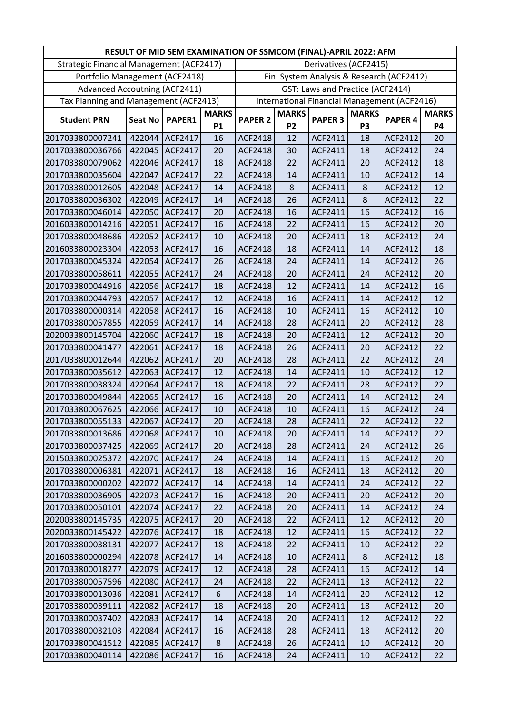|                                          |                |                |              | RESULT OF MID SEM EXAMINATION OF SSMCOM (FINAL)-APRIL 2022: AFM |              |                                  |                |                                              |              |
|------------------------------------------|----------------|----------------|--------------|-----------------------------------------------------------------|--------------|----------------------------------|----------------|----------------------------------------------|--------------|
| Strategic Financial Management (ACF2417) |                |                |              |                                                                 |              | Derivatives (ACF2415)            |                |                                              |              |
| Portfolio Management (ACF2418)           |                |                |              |                                                                 |              |                                  |                | Fin. System Analysis & Research (ACF2412)    |              |
| <b>Advanced Accoutning (ACF2411)</b>     |                |                |              |                                                                 |              | GST: Laws and Practice (ACF2414) |                |                                              |              |
| Tax Planning and Management (ACF2413)    |                |                |              |                                                                 |              |                                  |                | International Financial Management (ACF2416) |              |
|                                          |                |                | <b>MARKS</b> |                                                                 | <b>MARKS</b> |                                  | <b>MARKS</b>   |                                              | <b>MARKS</b> |
| <b>Student PRN</b>                       | <b>Seat No</b> | PAPER1         | <b>P1</b>    | <b>PAPER 2</b>                                                  | <b>P2</b>    | <b>PAPER 3</b>                   | P <sub>3</sub> | <b>PAPER 4</b>                               | <b>P4</b>    |
| 2017033800007241                         | 422044         | ACF2417        | 16           | <b>ACF2418</b>                                                  | 12           | ACF2411                          | 18             | ACF2412                                      | 20           |
| 2017033800036766                         | 422045         | ACF2417        | 20           | ACF2418                                                         | 30           | ACF2411                          | 18             | ACF2412                                      | 24           |
| 2017033800079062                         | 422046         | ACF2417        | 18           | ACF2418                                                         | 22           | ACF2411                          | 20             | ACF2412                                      | 18           |
| 2017033800035604                         | 422047         | ACF2417        | 22           | ACF2418                                                         | 14           | ACF2411                          | 10             | ACF2412                                      | 14           |
| 2017033800012605                         | 422048         | ACF2417        | 14           | <b>ACF2418</b>                                                  | 8            | ACF2411                          | 8              | ACF2412                                      | 12           |
| 2017033800036302                         | 422049         | ACF2417        | 14           | ACF2418                                                         | 26           | ACF2411                          | 8              | ACF2412                                      | 22           |
| 2017033800046014                         | 422050         | <b>ACF2417</b> | 20           | <b>ACF2418</b>                                                  | 16           | ACF2411                          | 16             | ACF2412                                      | 16           |
| 2016033800014216                         | 422051         | ACF2417        | 16           | ACF2418                                                         | 22           | ACF2411                          | 16             | ACF2412                                      | 20           |
| 2017033800048686                         | 422052         | ACF2417        | 10           | ACF2418                                                         | 20           | ACF2411                          | 18             | ACF2412                                      | 24           |
| 2016033800023304                         | 422053         | ACF2417        | 16           | ACF2418                                                         | 18           | ACF2411                          | 14             | ACF2412                                      | 18           |
| 2017033800045324                         | 422054         | ACF2417        | 26           | ACF2418                                                         | 24           | ACF2411                          | 14             | ACF2412                                      | 26           |
| 2017033800058611                         | 422055         | ACF2417        | 24           | <b>ACF2418</b>                                                  | 20           | ACF2411                          | 24             | ACF2412                                      | 20           |
| 2017033800044916                         | 422056         | <b>ACF2417</b> | 18           | ACF2418                                                         | 12           | ACF2411                          | 14             | ACF2412                                      | 16           |
| 2017033800044793                         | 422057         | ACF2417        | 12           | <b>ACF2418</b>                                                  | 16           | ACF2411                          | 14             | ACF2412                                      | 12           |
| 2017033800000314                         | 422058         | ACF2417        | 16           | ACF2418                                                         | 10           | ACF2411                          | 16             | ACF2412                                      | 10           |
| 2017033800057855                         | 422059         | ACF2417        | 14           | ACF2418                                                         | 28           | ACF2411                          | 20             | ACF2412                                      | 28           |
| 2020033800145704                         | 422060         | ACF2417        | 18           | <b>ACF2418</b>                                                  | 20           | ACF2411                          | 12             | ACF2412                                      | 20           |
| 2017033800041477                         | 422061         | ACF2417        | 18           | ACF2418                                                         | 26           | ACF2411                          | 20             | ACF2412                                      | 22           |
| 2017033800012644                         | 422062         | ACF2417        | 20           | ACF2418                                                         | 28           | ACF2411                          | 22             | ACF2412                                      | 24           |
| 2017033800035612                         | 422063         | ACF2417        | 12           | ACF2418                                                         | 14           | ACF2411                          | 10             | ACF2412                                      | 12           |
| 2017033800038324                         | 422064         | ACF2417        | 18           | ACF2418                                                         | 22           | ACF2411                          | 28             | ACF2412                                      | 22           |
| 2017033800049844                         | 422065         | ACF2417        | 16           | <b>ACF2418</b>                                                  | 20           | ACF2411                          | 14             | ACF2412                                      | 24           |
| 2017033800067625                         | 422066         | ACF2417        | 10           | ACF2418                                                         | 10           | ACF2411                          | 16             | ACF2412                                      | 24           |
| 2017033800055133                         | 422067         | <b>ACF2417</b> | 20           | <b>ACF2418</b>                                                  | 28           | ACF2411                          | 22             | <b>ACF2412</b>                               | 22           |
| 2017033800013686                         |                | 422068 ACF2417 | 10           | ACF2418                                                         | 20           | ACF2411                          | 14             | ACF2412                                      | 22           |
| 2017033800037425                         | 422069         | <b>ACF2417</b> | 20           | ACF2418                                                         | 28           | ACF2411                          | 24             | ACF2412                                      | 26           |
| 2015033800025372                         | 422070         | ACF2417        | 24           | ACF2418                                                         | 14           | ACF2411                          | 16             | ACF2412                                      | 20           |
| 2017033800006381                         | 422071         | ACF2417        | 18           | ACF2418                                                         | 16           | ACF2411                          | 18             | ACF2412                                      | 20           |
| 2017033800000202                         | 422072         | ACF2417        | 14           | ACF2418                                                         | 14           | ACF2411                          | 24             | ACF2412                                      | 22           |
| 2017033800036905                         | 422073         | ACF2417        | 16           | ACF2418                                                         | 20           | ACF2411                          | 20             | ACF2412                                      | 20           |
| 2017033800050101                         | 422074         | ACF2417        | 22           | ACF2418                                                         | 20           | ACF2411                          | 14             | ACF2412                                      | 24           |
| 2020033800145735                         | 422075         | ACF2417        | 20           | ACF2418                                                         | 22           | ACF2411                          | 12             | ACF2412                                      | 20           |
| 2020033800145422                         | 422076         | ACF2417        | 18           | ACF2418                                                         | 12           | ACF2411                          | 16             | ACF2412                                      | 22           |
| 2017033800038131                         | 422077         | ACF2417        | 18           | ACF2418                                                         | 22           | ACF2411                          | 10             | ACF2412                                      | 22           |
| 2016033800000294                         | 422078         | <b>ACF2417</b> | 14           | ACF2418                                                         | 10           | ACF2411                          | 8              | ACF2412                                      | 18           |
| 2017033800018277                         | 422079         | ACF2417        | 12           | ACF2418                                                         | 28           | ACF2411                          | 16             | ACF2412                                      | 14           |
| 2017033800057596                         | 422080         | ACF2417        | 24           | ACF2418                                                         | 22           | ACF2411                          | 18             | ACF2412                                      | 22           |
| 2017033800013036                         | 422081         | ACF2417        | 6            | <b>ACF2418</b>                                                  | 14           | ACF2411                          | 20             | ACF2412                                      | 12           |
| 2017033800039111                         | 422082         | ACF2417        | 18           | <b>ACF2418</b>                                                  | 20           | ACF2411                          | 18             | ACF2412                                      | 20           |
| 2017033800037402                         | 422083         | ACF2417        | 14           | ACF2418                                                         | 20           | ACF2411                          | 12             | ACF2412                                      | 22           |
| 2017033800032103                         | 422084         | ACF2417        | 16           | ACF2418                                                         | 28           | ACF2411                          | 18             | ACF2412                                      | 20           |
| 2017033800041512                         | 422085         | ACF2417        | 8            | <b>ACF2418</b>                                                  | 26           | ACF2411                          | 10             | ACF2412                                      | 20           |
| 2017033800040114                         | 422086         | <b>ACF2417</b> | 16           | ACF2418                                                         | 24           | ACF2411                          | 10             | ACF2412                                      | 22           |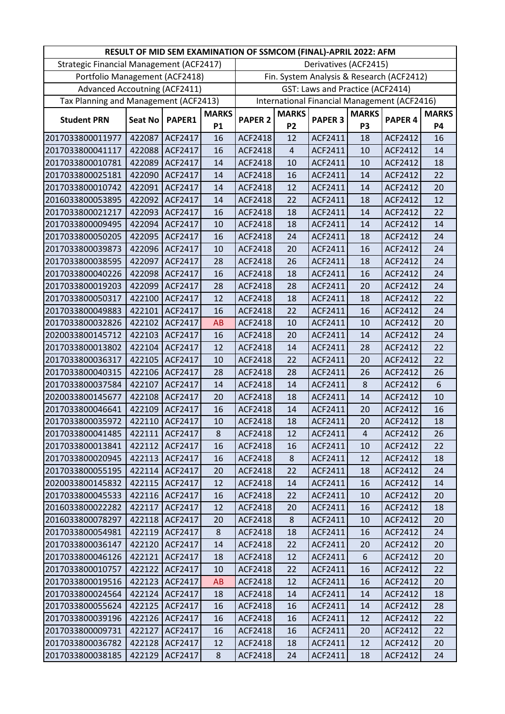|                                          |                |                |              | RESULT OF MID SEM EXAMINATION OF SSMCOM (FINAL)-APRIL 2022: AFM |                |                                  |                |                                              |              |
|------------------------------------------|----------------|----------------|--------------|-----------------------------------------------------------------|----------------|----------------------------------|----------------|----------------------------------------------|--------------|
| Strategic Financial Management (ACF2417) |                |                |              |                                                                 |                | Derivatives (ACF2415)            |                |                                              |              |
| Portfolio Management (ACF2418)           |                |                |              |                                                                 |                |                                  |                | Fin. System Analysis & Research (ACF2412)    |              |
| <b>Advanced Accoutning (ACF2411)</b>     |                |                |              |                                                                 |                | GST: Laws and Practice (ACF2414) |                |                                              |              |
| Tax Planning and Management (ACF2413)    |                |                |              |                                                                 |                |                                  |                | International Financial Management (ACF2416) |              |
|                                          |                |                | <b>MARKS</b> |                                                                 | <b>MARKS</b>   |                                  | <b>MARKS</b>   |                                              | <b>MARKS</b> |
| <b>Student PRN</b>                       | <b>Seat No</b> | PAPER1         | <b>P1</b>    | <b>PAPER 2</b>                                                  | <b>P2</b>      | <b>PAPER 3</b>                   | P <sub>3</sub> | PAPER <sub>4</sub>                           | <b>P4</b>    |
| 2017033800011977                         | 422087         | ACF2417        | 16           | <b>ACF2418</b>                                                  | 12             | ACF2411                          | 18             | ACF2412                                      | 16           |
| 2017033800041117                         | 422088         | ACF2417        | 16           | <b>ACF2418</b>                                                  | $\overline{4}$ | ACF2411                          | 10             | ACF2412                                      | 14           |
| 2017033800010781                         | 422089         | ACF2417        | 14           | ACF2418                                                         | 10             | ACF2411                          | 10             | ACF2412                                      | 18           |
| 2017033800025181                         | 422090         | ACF2417        | 14           | ACF2418                                                         | 16             | ACF2411                          | 14             | ACF2412                                      | 22           |
| 2017033800010742                         | 422091         | ACF2417        | 14           | ACF2418                                                         | 12             | ACF2411                          | 14             | ACF2412                                      | 20           |
| 2016033800053895                         | 422092         | ACF2417        | 14           | ACF2418                                                         | 22             | ACF2411                          | 18             | ACF2412                                      | 12           |
| 2017033800021217                         | 422093         | ACF2417        | 16           | <b>ACF2418</b>                                                  | 18             | ACF2411                          | 14             | ACF2412                                      | 22           |
| 2017033800009495                         | 422094         | ACF2417        | 10           | ACF2418                                                         | 18             | ACF2411                          | 14             | ACF2412                                      | 14           |
| 2017033800050205                         | 422095         | ACF2417        | 16           | ACF2418                                                         | 24             | ACF2411                          | 18             | ACF2412                                      | 24           |
| 2017033800039873                         | 422096         | ACF2417        | 10           | ACF2418                                                         | 20             | ACF2411                          | 16             | ACF2412                                      | 24           |
| 2017033800038595                         | 422097         | ACF2417        | 28           | ACF2418                                                         | 26             | ACF2411                          | 18             | ACF2412                                      | 24           |
| 2017033800040226                         | 422098         | ACF2417        | 16           | ACF2418                                                         | 18             | ACF2411                          | 16             | ACF2412                                      | 24           |
| 2017033800019203                         | 422099         | ACF2417        | 28           | ACF2418                                                         | 28             | ACF2411                          | 20             | ACF2412                                      | 24           |
| 2017033800050317                         | 422100         | <b>ACF2417</b> | 12           | <b>ACF2418</b>                                                  | 18             | ACF2411                          | 18             | ACF2412                                      | 22           |
| 2017033800049883                         | 422101         | ACF2417        | 16           | ACF2418                                                         | 22             | ACF2411                          | 16             | ACF2412                                      | 24           |
| 2017033800032826                         | 422102         | ACF2417        | <b>AB</b>    | ACF2418                                                         | 10             | ACF2411                          | 10             | ACF2412                                      | 20           |
| 2020033800145712                         | 422103         | <b>ACF2417</b> | 16           | ACF2418                                                         | 20             | ACF2411                          | 14             | ACF2412                                      | 24           |
| 2017033800013802                         | 422104         | ACF2417        | 12           | ACF2418                                                         | 14             | ACF2411                          | 28             | ACF2412                                      | 22           |
| 2017033800036317                         | 422105         | ACF2417        | 10           | <b>ACF2418</b>                                                  | 22             | ACF2411                          | 20             | ACF2412                                      | 22           |
| 2017033800040315                         | 422106         | ACF2417        | 28           | <b>ACF2418</b>                                                  | 28             | ACF2411                          | 26             | ACF2412                                      | 26           |
| 2017033800037584                         | 422107         | ACF2417        | 14           | ACF2418                                                         | 14             | ACF2411                          | 8              | ACF2412                                      | 6            |
| 2020033800145677                         | 422108         | ACF2417        | 20           | ACF2418                                                         | 18             | ACF2411                          | 14             | ACF2412                                      | 10           |
| 2017033800046641                         | 422109         | ACF2417        | 16           | ACF2418                                                         | 14             | ACF2411                          | 20             | ACF2412                                      | 16           |
| 2017033800035972                         | 422110         | ACF2417        | 10           | ACF2418                                                         | 18             | ACF2411                          | 20             | <b>ACF2412</b>                               | 18           |
| 2017033800041485                         |                | 422111 ACF2417 | 8            | ACF2418                                                         | 12             | ACF2411                          | 4              | ACF2412                                      | 26           |
| 2017033800013841                         | 422112         | <b>ACF2417</b> | 16           | ACF2418                                                         | 16             | ACF2411                          | 10             | ACF2412                                      | 22           |
| 2017033800020945                         | 422113         | ACF2417        | 16           | <b>ACF2418</b>                                                  | 8              | ACF2411                          | 12             | ACF2412                                      | 18           |
| 2017033800055195                         | 422114         | <b>ACF2417</b> | 20           | ACF2418                                                         | 22             | ACF2411                          | 18             | ACF2412                                      | 24           |
| 2020033800145832                         | 422115         | <b>ACF2417</b> | 12           | ACF2418                                                         | 14             | ACF2411                          | 16             | ACF2412                                      | 14           |
| 2017033800045533                         | 422116         | ACF2417        | 16           | ACF2418                                                         | 22             | ACF2411                          | 10             | ACF2412                                      | 20           |
| 2016033800022282                         | 422117         | ACF2417        | 12           | ACF2418                                                         | 20             | ACF2411                          | 16             | ACF2412                                      | 18           |
| 2016033800078297                         | 422118         | <b>ACF2417</b> | 20           | <b>ACF2418</b>                                                  | 8              | ACF2411                          | 10             | ACF2412                                      | 20           |
| 2017033800054981                         | 422119         | <b>ACF2417</b> | 8            | ACF2418                                                         | 18             | ACF2411                          | 16             | ACF2412                                      | 24           |
| 2017033800036147                         | 422120         | ACF2417        | 14           | ACF2418                                                         | 22             | ACF2411                          | 20             | ACF2412                                      | 20           |
| 2017033800046126                         | 422121         | ACF2417        | 18           | ACF2418                                                         | 12             | ACF2411                          | 6              | ACF2412                                      | 20           |
| 2017033800010757                         | 422122         | <b>ACF2417</b> | 10           | ACF2418                                                         | 22             | ACF2411                          | 16             | ACF2412                                      | 22           |
| 2017033800019516                         | 422123         | ACF2417        | AB           | ACF2418                                                         | 12             | ACF2411                          | 16             | ACF2412                                      | 20           |
| 2017033800024564                         | 422124         | <b>ACF2417</b> | 18           | ACF2418                                                         | 14             | ACF2411                          | 14             | ACF2412                                      | 18           |
| 2017033800055624                         | 422125         | <b>ACF2417</b> | 16           | ACF2418                                                         | 16             | ACF2411                          | 14             | ACF2412                                      | 28           |
| 2017033800039196                         | 422126         | <b>ACF2417</b> | 16           | ACF2418                                                         | 16             | ACF2411                          | 12             | ACF2412                                      | 22           |
| 2017033800009731                         | 422127         | ACF2417        | 16           | ACF2418                                                         | 16             | ACF2411                          | 20             | ACF2412                                      | 22           |
| 2017033800036782                         | 422128         | ACF2417        | 12           | <b>ACF2418</b>                                                  | 18             | ACF2411                          | 12             | ACF2412                                      | 20           |
| 2017033800038185                         | 422129         | <b>ACF2417</b> | 8            | ACF2418                                                         | 24             | ACF2411                          | 18             | ACF2412                                      | 24           |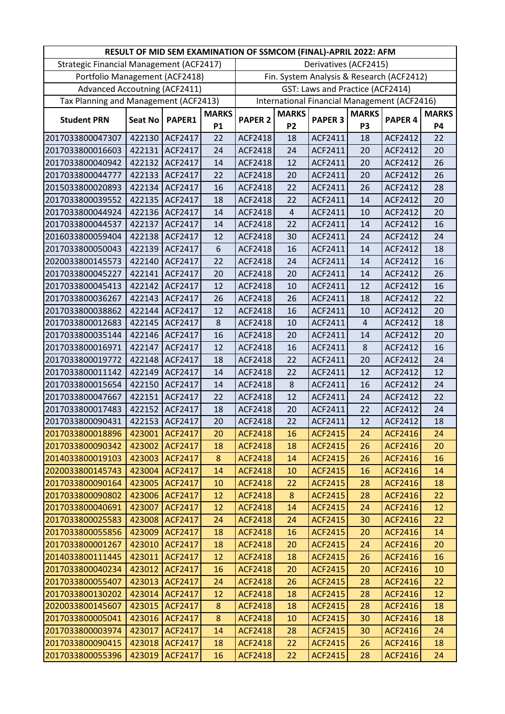|                                          |                |                |              | RESULT OF MID SEM EXAMINATION OF SSMCOM (FINAL)-APRIL 2022: AFM |                |                                  |                |                                              |              |
|------------------------------------------|----------------|----------------|--------------|-----------------------------------------------------------------|----------------|----------------------------------|----------------|----------------------------------------------|--------------|
| Strategic Financial Management (ACF2417) |                |                |              |                                                                 |                | Derivatives (ACF2415)            |                |                                              |              |
| Portfolio Management (ACF2418)           |                |                |              |                                                                 |                |                                  |                | Fin. System Analysis & Research (ACF2412)    |              |
| <b>Advanced Accoutning (ACF2411)</b>     |                |                |              |                                                                 |                | GST: Laws and Practice (ACF2414) |                |                                              |              |
| Tax Planning and Management (ACF2413)    |                |                |              |                                                                 |                |                                  |                | International Financial Management (ACF2416) |              |
|                                          |                |                | <b>MARKS</b> |                                                                 | <b>MARKS</b>   |                                  | <b>MARKS</b>   |                                              | <b>MARKS</b> |
| <b>Student PRN</b>                       | <b>Seat No</b> | PAPER1         | <b>P1</b>    | <b>PAPER 2</b>                                                  | P <sub>2</sub> | <b>PAPER 3</b>                   | P <sub>3</sub> | <b>PAPER 4</b>                               | <b>P4</b>    |
| 2017033800047307                         | 422130         | ACF2417        | 22           | ACF2418                                                         | 18             | ACF2411                          | 18             | ACF2412                                      | 22           |
| 2017033800016603                         | 422131         | ACF2417        | 24           | <b>ACF2418</b>                                                  | 24             | ACF2411                          | 20             | ACF2412                                      | 20           |
| 2017033800040942                         | 422132         | ACF2417        | 14           | <b>ACF2418</b>                                                  | 12             | ACF2411                          | 20             | ACF2412                                      | 26           |
| 2017033800044777                         | 422133         | ACF2417        | 22           | ACF2418                                                         | 20             | ACF2411                          | 20             | ACF2412                                      | 26           |
| 2015033800020893                         | 422134         | ACF2417        | 16           | ACF2418                                                         | 22             | ACF2411                          | 26             | ACF2412                                      | 28           |
| 2017033800039552                         | 422135         | ACF2417        | 18           | ACF2418                                                         | 22             | ACF2411                          | 14             | ACF2412                                      | 20           |
| 2017033800044924                         | 422136         | ACF2417        | 14           | <b>ACF2418</b>                                                  | $\overline{4}$ | ACF2411                          | 10             | ACF2412                                      | 20           |
| 2017033800044537                         | 422137         | ACF2417        | 14           | ACF2418                                                         | 22             | ACF2411                          | 14             | ACF2412                                      | 16           |
| 2016033800059404                         | 422138         | ACF2417        | 12           | <b>ACF2418</b>                                                  | 30             | ACF2411                          | 24             | ACF2412                                      | 24           |
| 2017033800050043                         | 422139         | ACF2417        | 6            | ACF2418                                                         | 16             | ACF2411                          | 14             | ACF2412                                      | 18           |
| 2020033800145573                         | 422140         | ACF2417        | 22           | ACF2418                                                         | 24             | ACF2411                          | 14             | ACF2412                                      | 16           |
| 2017033800045227                         | 422141         | ACF2417        | 20           | <b>ACF2418</b>                                                  | 20             | ACF2411                          | 14             | ACF2412                                      | 26           |
| 2017033800045413                         | 422142         | ACF2417        | 12           | ACF2418                                                         | 10             | ACF2411                          | 12             | ACF2412                                      | 16           |
| 2017033800036267                         | 422143         | ACF2417        | 26           | ACF2418                                                         | 26             | ACF2411                          | 18             | ACF2412                                      | 22           |
| 2017033800038862                         | 422144         | ACF2417        | 12           | ACF2418                                                         | 16             | ACF2411                          | 10             | ACF2412                                      | 20           |
| 2017033800012683                         | 422145         | ACF2417        | $\,8\,$      | ACF2418                                                         | 10             | ACF2411                          | 4              | ACF2412                                      | 18           |
| 2017033800035144                         | 422146         | ACF2417        | 16           | <b>ACF2418</b>                                                  | 20             | ACF2411                          | 14             | ACF2412                                      | 20           |
| 2017033800016971                         | 422147         | ACF2417        | 12           | <b>ACF2418</b>                                                  | 16             | ACF2411                          | 8              | ACF2412                                      | 16           |
| 2017033800019772                         | 422148         | ACF2417        | 18           | ACF2418                                                         | 22             | ACF2411                          | 20             | ACF2412                                      | 24           |
| 2017033800011142                         | 422149         | ACF2417        | 14           | <b>ACF2418</b>                                                  | 22             | ACF2411                          | 12             | ACF2412                                      | 12           |
| 2017033800015654                         | 422150         | ACF2417        | 14           | <b>ACF2418</b>                                                  | 8              | ACF2411                          | 16             | ACF2412                                      | 24           |
| 2017033800047667                         | 422151         | ACF2417        | 22           | ACF2418                                                         | 12             | ACF2411                          | 24             | ACF2412                                      | 22           |
| 2017033800017483                         | 422152         | ACF2417        | 18           | ACF2418                                                         | 20             | ACF2411                          | 22             | ACF2412                                      | 24           |
| 2017033800090431                         | 422153         | ACF2417        | 20           | <b>ACF2418</b>                                                  | 22             | ACF2411                          | 12             | ACF2412                                      | 18           |
| 2017033800018896                         | 423001         | <b>ACF2417</b> | 20           | ACF2418                                                         | 16             | <b>ACF2415</b>                   | 24             | <b>ACF2416</b>                               | 24           |
| 2017033800090342                         | 423002         | <b>ACF2417</b> | 18           | <b>ACF2418</b>                                                  | 18             | <b>ACF2415</b>                   | 26             | <b>ACF2416</b>                               | 20           |
| 2014033800019103                         | 423003         | <b>ACF2417</b> | 8            | <b>ACF2418</b>                                                  | 14             | <b>ACF2415</b>                   | 26             | <b>ACF2416</b>                               | 16           |
| 2020033800145743                         | 423004         | <b>ACF2417</b> | 14           | <b>ACF2418</b>                                                  | 10             | <b>ACF2415</b>                   | 16             | <b>ACF2416</b>                               | 14           |
| 2017033800090164                         | 423005         | <b>ACF2417</b> | 10           | <b>ACF2418</b>                                                  | 22             | <b>ACF2415</b>                   | 28             | <b>ACF2416</b>                               | 18           |
| 2017033800090802                         | 423006         | <b>ACF2417</b> | 12           | <b>ACF2418</b>                                                  | 8              | <b>ACF2415</b>                   | 28             | <b>ACF2416</b>                               | 22           |
| 2017033800040691                         | 423007         | <b>ACF2417</b> | 12           | <b>ACF2418</b>                                                  | 14             | <b>ACF2415</b>                   | 24             | <b>ACF2416</b>                               | 12           |
| 2017033800025583                         | 423008         | ACF2417        | 24           | <b>ACF2418</b>                                                  | 24             | <b>ACF2415</b>                   | 30             | <b>ACF2416</b>                               | 22           |
| 2017033800055856                         | 423009         | <b>ACF2417</b> | 18           | <b>ACF2418</b>                                                  | 16             | <b>ACF2415</b>                   | 20             | <b>ACF2416</b>                               | 14           |
| 2017033800001267                         | 423010         | <b>ACF2417</b> | 18           | <b>ACF2418</b>                                                  | 20             | <b>ACF2415</b>                   | 24             | <b>ACF2416</b>                               | 20           |
| 2014033800111445                         | 423011         | <b>ACF2417</b> | 12           | <b>ACF2418</b>                                                  | 18             | <b>ACF2415</b>                   | 26             | <b>ACF2416</b>                               | 16           |
| 2017033800040234                         | 423012         | <b>ACF2417</b> | 16           | <b>ACF2418</b>                                                  | 20             | <b>ACF2415</b>                   | 20             | <b>ACF2416</b>                               | 10           |
| 2017033800055407                         | 423013         | <b>ACF2417</b> | 24           | <b>ACF2418</b>                                                  | 26             | <b>ACF2415</b>                   | 28             | <b>ACF2416</b>                               | 22           |
| 2017033800130202                         | 423014         | <b>ACF2417</b> | 12           | <b>ACF2418</b>                                                  | 18             | <b>ACF2415</b>                   | 28             | <b>ACF2416</b>                               | 12           |
| 2020033800145607                         | 423015         | <b>ACF2417</b> | 8            | <b>ACF2418</b>                                                  | 18             | <b>ACF2415</b>                   | 28             | <b>ACF2416</b>                               | 18           |
| 2017033800005041                         | 423016         | <b>ACF2417</b> | 8            | <b>ACF2418</b>                                                  | 10             | <b>ACF2415</b>                   | 30             | <b>ACF2416</b>                               | 18           |
| 2017033800003974                         | 423017         | <b>ACF2417</b> | 14           | <b>ACF2418</b>                                                  | 28             | <b>ACF2415</b>                   | 30             | <b>ACF2416</b>                               | 24           |
| 2017033800090415                         | 423018         | <b>ACF2417</b> | 18           | <b>ACF2418</b>                                                  | 22             | <b>ACF2415</b>                   | 26             | <b>ACF2416</b>                               | 18           |
| 2017033800055396                         | 423019         | <b>ACF2417</b> | 16           | <b>ACF2418</b>                                                  | 22             | <b>ACF2415</b>                   | 28             | ACF2416                                      | 24           |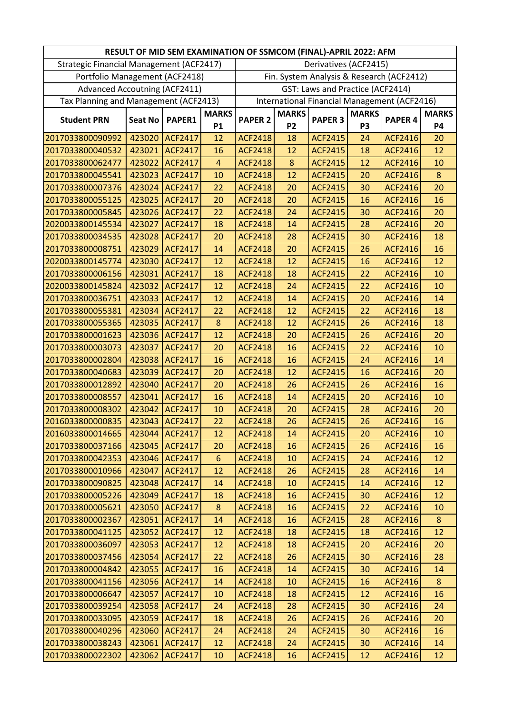| Derivatives (ACF2415)<br>Strategic Financial Management (ACF2417)<br>Portfolio Management (ACF2418)<br>Fin. System Analysis & Research (ACF2412)<br><b>Advanced Accoutning (ACF2411)</b><br>GST: Laws and Practice (ACF2414)<br>Tax Planning and Management (ACF2413)<br>International Financial Management (ACF2416)<br><b>MARKS</b><br><b>MARKS</b><br><b>MARKS</b><br><b>MARKS</b><br><b>PAPER 3</b><br><b>PAPER 4</b><br><b>Student PRN</b><br><b>Seat No</b><br>PAPER1<br><b>PAPER 2</b><br>P <sub>2</sub><br><b>P1</b><br>P <sub>3</sub><br><b>P4</b><br>18<br>2017033800090992<br>423020<br><b>ACF2417</b><br>12<br><b>ACF2418</b><br><b>ACF2415</b><br><b>ACF2416</b><br>20<br>24<br>423021<br><b>ACF2417</b><br><b>ACF2418</b><br>12<br><b>ACF2415</b><br><b>ACF2416</b><br>12<br>2017033800040532<br>16<br>18 | RESULT OF MID SEM EXAMINATION OF SSMCOM (FINAL)-APRIL 2022: AFM |
|-------------------------------------------------------------------------------------------------------------------------------------------------------------------------------------------------------------------------------------------------------------------------------------------------------------------------------------------------------------------------------------------------------------------------------------------------------------------------------------------------------------------------------------------------------------------------------------------------------------------------------------------------------------------------------------------------------------------------------------------------------------------------------------------------------------------------|-----------------------------------------------------------------|
|                                                                                                                                                                                                                                                                                                                                                                                                                                                                                                                                                                                                                                                                                                                                                                                                                         |                                                                 |
|                                                                                                                                                                                                                                                                                                                                                                                                                                                                                                                                                                                                                                                                                                                                                                                                                         |                                                                 |
|                                                                                                                                                                                                                                                                                                                                                                                                                                                                                                                                                                                                                                                                                                                                                                                                                         |                                                                 |
|                                                                                                                                                                                                                                                                                                                                                                                                                                                                                                                                                                                                                                                                                                                                                                                                                         |                                                                 |
|                                                                                                                                                                                                                                                                                                                                                                                                                                                                                                                                                                                                                                                                                                                                                                                                                         |                                                                 |
|                                                                                                                                                                                                                                                                                                                                                                                                                                                                                                                                                                                                                                                                                                                                                                                                                         |                                                                 |
|                                                                                                                                                                                                                                                                                                                                                                                                                                                                                                                                                                                                                                                                                                                                                                                                                         |                                                                 |
|                                                                                                                                                                                                                                                                                                                                                                                                                                                                                                                                                                                                                                                                                                                                                                                                                         |                                                                 |
| $\boldsymbol{8}$<br>2017033800062477<br>423022<br><b>ACF2417</b><br>$\overline{4}$<br><b>ACF2418</b><br><b>ACF2415</b><br>12<br><b>ACF2416</b><br>10                                                                                                                                                                                                                                                                                                                                                                                                                                                                                                                                                                                                                                                                    |                                                                 |
| 423023<br><b>ACF2417</b><br><b>ACF2418</b><br>12<br>2017033800045541<br>10<br><b>ACF2415</b><br><b>ACF2416</b><br>$\bf 8$<br>20                                                                                                                                                                                                                                                                                                                                                                                                                                                                                                                                                                                                                                                                                         |                                                                 |
| 20<br>22<br>20<br>423024<br><b>ACF2417</b><br><b>ACF2418</b><br><b>ACF2415</b><br>30<br><b>ACF2416</b><br>2017033800007376                                                                                                                                                                                                                                                                                                                                                                                                                                                                                                                                                                                                                                                                                              |                                                                 |
| 423025<br><b>ACF2417</b><br>20<br><b>ACF2418</b><br>20<br><b>ACF2415</b><br>16<br>2017033800055125<br><b>ACF2416</b><br>16                                                                                                                                                                                                                                                                                                                                                                                                                                                                                                                                                                                                                                                                                              |                                                                 |
| 423026<br>22<br><b>ACF2418</b><br>24<br>2017033800005845<br><b>ACF2417</b><br><b>ACF2415</b><br>30<br><b>ACF2416</b><br>20                                                                                                                                                                                                                                                                                                                                                                                                                                                                                                                                                                                                                                                                                              |                                                                 |
| 423027<br><b>ACF2417</b><br>18<br><b>ACF2418</b><br>14<br><b>ACF2415</b><br><b>ACF2416</b><br>20<br>2020033800145534<br>28                                                                                                                                                                                                                                                                                                                                                                                                                                                                                                                                                                                                                                                                                              |                                                                 |
| 423028<br><b>ACF2417</b><br><b>ACF2418</b><br>28<br><b>ACF2415</b><br>18<br>2017033800034535<br>20<br>30<br><b>ACF2416</b>                                                                                                                                                                                                                                                                                                                                                                                                                                                                                                                                                                                                                                                                                              |                                                                 |
| 423029<br><b>ACF2417</b><br>14<br><b>ACF2418</b><br>20<br><b>ACF2415</b><br>16<br>2017033800008751<br>26<br><b>ACF2416</b>                                                                                                                                                                                                                                                                                                                                                                                                                                                                                                                                                                                                                                                                                              |                                                                 |
| 12<br>2020033800145774<br>423030<br><b>ACF2417</b><br>12<br><b>ACF2418</b><br><b>ACF2415</b><br>16<br><b>ACF2416</b><br>12                                                                                                                                                                                                                                                                                                                                                                                                                                                                                                                                                                                                                                                                                              |                                                                 |
| 423031<br>18<br>22<br>2017033800006156<br><b>ACF2417</b><br>18<br><b>ACF2418</b><br><b>ACF2415</b><br><b>ACF2416</b><br>10                                                                                                                                                                                                                                                                                                                                                                                                                                                                                                                                                                                                                                                                                              |                                                                 |
| 423032<br>12<br>2020033800145824<br><b>ACF2417</b><br><b>ACF2418</b><br>24<br><b>ACF2415</b><br>22<br><b>ACF2416</b><br>10                                                                                                                                                                                                                                                                                                                                                                                                                                                                                                                                                                                                                                                                                              |                                                                 |
| 423033<br><b>ACF2417</b><br>12<br><b>ACF2418</b><br>14<br><b>ACF2415</b><br><b>ACF2416</b><br>14<br>2017033800036751<br>20                                                                                                                                                                                                                                                                                                                                                                                                                                                                                                                                                                                                                                                                                              |                                                                 |
| 423034<br><b>ACF2417</b><br>22<br><b>ACF2418</b><br>12<br><b>ACF2415</b><br><b>ACF2416</b><br>18<br>2017033800055381<br>22                                                                                                                                                                                                                                                                                                                                                                                                                                                                                                                                                                                                                                                                                              |                                                                 |
| $\bf 8$<br><b>ACF2418</b><br>12<br>2017033800055365<br>423035<br><b>ACF2417</b><br><b>ACF2415</b><br><b>ACF2416</b><br>18<br>26                                                                                                                                                                                                                                                                                                                                                                                                                                                                                                                                                                                                                                                                                         |                                                                 |
| 423036<br>12<br>20<br>20<br>2017033800001623<br><b>ACF2417</b><br><b>ACF2418</b><br><b>ACF2415</b><br>26<br><b>ACF2416</b>                                                                                                                                                                                                                                                                                                                                                                                                                                                                                                                                                                                                                                                                                              |                                                                 |
| 2017033800003073<br>423037<br><b>ACF2417</b><br>20<br><b>ACF2418</b><br>16<br><b>ACF2415</b><br>22<br><b>ACF2416</b><br>10                                                                                                                                                                                                                                                                                                                                                                                                                                                                                                                                                                                                                                                                                              |                                                                 |
| 423038<br><b>ACF2417</b><br><b>ACF2418</b><br>16<br><b>ACF2415</b><br><b>ACF2416</b><br>14<br>2017033800002804<br>16<br>24                                                                                                                                                                                                                                                                                                                                                                                                                                                                                                                                                                                                                                                                                              |                                                                 |
| 2017033800040683<br>423039<br><b>ACF2417</b><br>20<br><b>ACF2418</b><br>12<br><b>ACF2415</b><br>16<br><b>ACF2416</b><br>20                                                                                                                                                                                                                                                                                                                                                                                                                                                                                                                                                                                                                                                                                              |                                                                 |
| 423040<br><b>ACF2417</b><br><b>ACF2418</b><br>26<br><b>ACF2415</b><br><b>ACF2416</b><br>16<br>2017033800012892<br>20<br>26                                                                                                                                                                                                                                                                                                                                                                                                                                                                                                                                                                                                                                                                                              |                                                                 |
| 423041<br><b>ACF2417</b><br>16<br><b>ACF2418</b><br>14<br><b>ACF2416</b><br>10<br>2017033800008557<br><b>ACF2415</b><br>20                                                                                                                                                                                                                                                                                                                                                                                                                                                                                                                                                                                                                                                                                              |                                                                 |
| 2017033800008302<br>423042<br><b>ACF2417</b><br>10<br><b>ACF2418</b><br>20<br><b>ACF2415</b><br><b>ACF2416</b><br>20<br>28                                                                                                                                                                                                                                                                                                                                                                                                                                                                                                                                                                                                                                                                                              |                                                                 |
| 22<br>423043<br>26<br>26<br>16<br><b>ACF2417</b><br><b>ACF2418</b><br><b>ACF2415</b><br><b>ACF2416</b><br>2016033800000835                                                                                                                                                                                                                                                                                                                                                                                                                                                                                                                                                                                                                                                                                              |                                                                 |
| 2016033800014665<br><b>ACF2416</b><br>423044<br><b>ACF2417</b><br>ACF2418<br><b>ACF2415</b><br>12<br>14<br>20<br>10                                                                                                                                                                                                                                                                                                                                                                                                                                                                                                                                                                                                                                                                                                     |                                                                 |
| 423045<br>2017033800037166<br><b>ACF2417</b><br><b>ACF2418</b><br>16<br><b>ACF2415</b><br><b>ACF2416</b><br>16<br>20<br>26                                                                                                                                                                                                                                                                                                                                                                                                                                                                                                                                                                                                                                                                                              |                                                                 |
| 423046<br><b>ACF2417</b><br>$6\phantom{1}$<br><b>ACF2418</b><br><b>ACF2415</b><br><b>ACF2416</b><br>2017033800042353<br>10<br>12<br>24                                                                                                                                                                                                                                                                                                                                                                                                                                                                                                                                                                                                                                                                                  |                                                                 |
| 2017033800010966<br>423047<br><b>ACF2417</b><br>12<br><b>ACF2418</b><br>26<br><b>ACF2415</b><br><b>ACF2416</b><br>14<br>28                                                                                                                                                                                                                                                                                                                                                                                                                                                                                                                                                                                                                                                                                              |                                                                 |
| <b>ACF2416</b><br>2017033800090825<br>423048<br><b>ACF2417</b><br>14<br><b>ACF2418</b><br>10<br><b>ACF2415</b><br>14<br>12                                                                                                                                                                                                                                                                                                                                                                                                                                                                                                                                                                                                                                                                                              |                                                                 |
| 423049<br><b>ACF2417</b><br><b>ACF2418</b><br>16<br><b>ACF2415</b><br><b>ACF2416</b><br>2017033800005226<br>18<br>30<br>12                                                                                                                                                                                                                                                                                                                                                                                                                                                                                                                                                                                                                                                                                              |                                                                 |
| 423050<br>8<br><b>ACF2418</b><br><b>ACF2415</b><br><b>ACF2416</b><br>2017033800005621<br><b>ACF2417</b><br>16<br>22<br>10                                                                                                                                                                                                                                                                                                                                                                                                                                                                                                                                                                                                                                                                                               |                                                                 |
| 2017033800002367<br>423051<br><b>ACF2418</b><br>16<br><b>ACF2415</b><br><b>ACF2416</b><br>ACF2417<br>14<br>28<br>8                                                                                                                                                                                                                                                                                                                                                                                                                                                                                                                                                                                                                                                                                                      |                                                                 |
| <b>ACF2418</b><br>18<br><b>ACF2415</b><br>12<br>2017033800041125<br>423052<br><b>ACF2417</b><br>12<br><b>ACF2416</b><br>18                                                                                                                                                                                                                                                                                                                                                                                                                                                                                                                                                                                                                                                                                              |                                                                 |
| 423053<br><b>ACF2417</b><br><b>ACF2418</b><br><b>ACF2415</b><br><b>ACF2416</b><br>2017033800036097<br>12<br>18<br>20<br>20                                                                                                                                                                                                                                                                                                                                                                                                                                                                                                                                                                                                                                                                                              |                                                                 |
| 2017033800037456<br>423054<br><b>ACF2417</b><br><b>ACF2418</b><br>26<br><b>ACF2415</b><br><b>ACF2416</b><br>28<br>22<br>30                                                                                                                                                                                                                                                                                                                                                                                                                                                                                                                                                                                                                                                                                              |                                                                 |
| 423055<br><b>ACF2416</b><br>2017033800004842<br><b>ACF2417</b><br>16<br><b>ACF2418</b><br>14<br><b>ACF2415</b><br>30<br>14                                                                                                                                                                                                                                                                                                                                                                                                                                                                                                                                                                                                                                                                                              |                                                                 |
| <b>ACF2418</b><br>2017033800041156<br>423056<br><b>ACF2417</b><br>14<br>10<br><b>ACF2415</b><br><b>ACF2416</b><br>8<br>16                                                                                                                                                                                                                                                                                                                                                                                                                                                                                                                                                                                                                                                                                               |                                                                 |
| 423057<br><b>ACF2417</b><br><b>ACF2418</b><br>18<br><b>ACF2415</b><br><b>ACF2416</b><br>16<br>2017033800006647<br>10<br>12                                                                                                                                                                                                                                                                                                                                                                                                                                                                                                                                                                                                                                                                                              |                                                                 |
| 423058<br><b>ACF2417</b><br><b>ACF2418</b><br><b>ACF2416</b><br>2017033800039254<br>28<br><b>ACF2415</b><br>24<br>30<br>24                                                                                                                                                                                                                                                                                                                                                                                                                                                                                                                                                                                                                                                                                              |                                                                 |
| 423059<br><b>ACF2417</b><br>18<br><b>ACF2418</b><br>26<br><b>ACF2415</b><br><b>ACF2416</b><br>20<br>2017033800033095<br>26                                                                                                                                                                                                                                                                                                                                                                                                                                                                                                                                                                                                                                                                                              |                                                                 |
| 423060<br><b>ACF2416</b><br>2017033800040296<br><b>ACF2417</b><br>24<br><b>ACF2418</b><br>24<br><b>ACF2415</b><br>16<br>30                                                                                                                                                                                                                                                                                                                                                                                                                                                                                                                                                                                                                                                                                              |                                                                 |
| 2017033800038243<br>423061<br><b>ACF2417</b><br><b>ACF2418</b><br><b>ACF2415</b><br><b>ACF2416</b><br>12<br>24<br>14<br>30                                                                                                                                                                                                                                                                                                                                                                                                                                                                                                                                                                                                                                                                                              |                                                                 |
| 16<br>2017033800022302<br>423062<br><b>ACF2417</b><br>10<br><b>ACF2418</b><br><b>ACF2415</b><br>12<br>ACF2416<br>12                                                                                                                                                                                                                                                                                                                                                                                                                                                                                                                                                                                                                                                                                                     |                                                                 |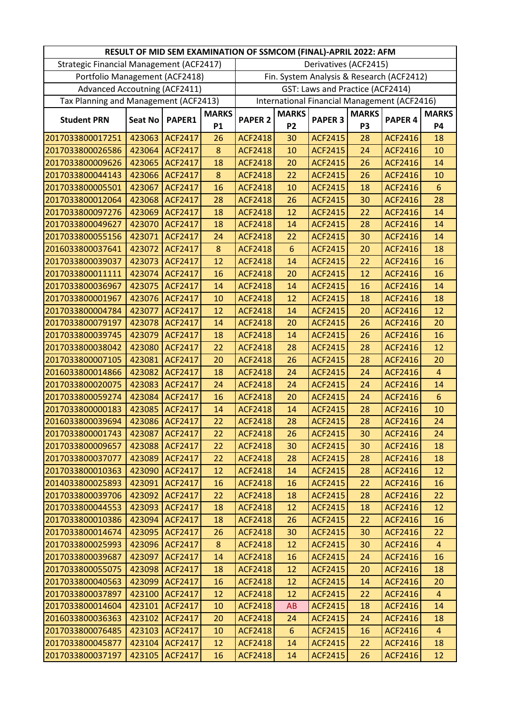|                                          |                |                |              | RESULT OF MID SEM EXAMINATION OF SSMCOM (FINAL)-APRIL 2022: AFM |                |                                  |                |                                              |                |
|------------------------------------------|----------------|----------------|--------------|-----------------------------------------------------------------|----------------|----------------------------------|----------------|----------------------------------------------|----------------|
| Strategic Financial Management (ACF2417) |                |                |              |                                                                 |                | Derivatives (ACF2415)            |                |                                              |                |
| Portfolio Management (ACF2418)           |                |                |              |                                                                 |                |                                  |                | Fin. System Analysis & Research (ACF2412)    |                |
| <b>Advanced Accoutning (ACF2411)</b>     |                |                |              |                                                                 |                | GST: Laws and Practice (ACF2414) |                |                                              |                |
| Tax Planning and Management (ACF2413)    |                |                |              |                                                                 |                |                                  |                | International Financial Management (ACF2416) |                |
|                                          |                |                | <b>MARKS</b> |                                                                 | <b>MARKS</b>   |                                  | <b>MARKS</b>   |                                              | <b>MARKS</b>   |
| <b>Student PRN</b>                       | <b>Seat No</b> | PAPER1         | <b>P1</b>    | <b>PAPER 2</b>                                                  | P <sub>2</sub> | <b>PAPER 3</b>                   | P <sub>3</sub> | <b>PAPER 4</b>                               | <b>P4</b>      |
| 2017033800017251                         | 423063         | <b>ACF2417</b> | 26           | <b>ACF2418</b>                                                  | 30             | <b>ACF2415</b>                   | 28             | <b>ACF2416</b>                               | 18             |
| 2017033800026586                         | 423064         | <b>ACF2417</b> | 8            | <b>ACF2418</b>                                                  | 10             | <b>ACF2415</b>                   | 24             | <b>ACF2416</b>                               | 10             |
| 2017033800009626                         | 423065         | <b>ACF2417</b> | 18           | <b>ACF2418</b>                                                  | 20             | <b>ACF2415</b>                   | 26             | <b>ACF2416</b>                               | 14             |
| 2017033800044143                         | 423066         | <b>ACF2417</b> | $\bf 8$      | <b>ACF2418</b>                                                  | 22             | <b>ACF2415</b>                   | 26             | <b>ACF2416</b>                               | 10             |
| 2017033800005501                         | 423067         | <b>ACF2417</b> | 16           | <b>ACF2418</b>                                                  | 10             | <b>ACF2415</b>                   | 18             | <b>ACF2416</b>                               | $6\phantom{1}$ |
| 2017033800012064                         | 423068         | <b>ACF2417</b> | 28           | <b>ACF2418</b>                                                  | 26             | <b>ACF2415</b>                   | 30             | ACF2416                                      | 28             |
| 2017033800097276                         | 423069         | <b>ACF2417</b> | 18           | <b>ACF2418</b>                                                  | 12             | <b>ACF2415</b>                   | 22             | <b>ACF2416</b>                               | 14             |
| 2017033800049627                         | 423070         | <b>ACF2417</b> | 18           | <b>ACF2418</b>                                                  | 14             | <b>ACF2415</b>                   | 28             | <b>ACF2416</b>                               | 14             |
| 2017033800055156                         | 423071         | <b>ACF2417</b> | 24           | <b>ACF2418</b>                                                  | 22             | <b>ACF2415</b>                   | 30             | <b>ACF2416</b>                               | 14             |
| 2016033800037641                         | 423072         | <b>ACF2417</b> | 8            | <b>ACF2418</b>                                                  | $6\phantom{1}$ | <b>ACF2415</b>                   | 20             | <b>ACF2416</b>                               | 18             |
| 2017033800039037                         | 423073         | <b>ACF2417</b> | 12           | <b>ACF2418</b>                                                  | 14             | <b>ACF2415</b>                   | 22             | <b>ACF2416</b>                               | 16             |
| 2017033800011111                         | 423074         | <b>ACF2417</b> | 16           | <b>ACF2418</b>                                                  | 20             | <b>ACF2415</b>                   | 12             | <b>ACF2416</b>                               | 16             |
| 2017033800036967                         | 423075         | <b>ACF2417</b> | 14           | <b>ACF2418</b>                                                  | 14             | <b>ACF2415</b>                   | 16             | ACF2416                                      | 14             |
| 2017033800001967                         | 423076         | <b>ACF2417</b> | 10           | <b>ACF2418</b>                                                  | 12             | <b>ACF2415</b>                   | 18             | <b>ACF2416</b>                               | 18             |
| 2017033800004784                         | 423077         | <b>ACF2417</b> | 12           | <b>ACF2418</b>                                                  | 14             | <b>ACF2415</b>                   | 20             | <b>ACF2416</b>                               | 12             |
| 2017033800079197                         | 423078         | <b>ACF2417</b> | 14           | <b>ACF2418</b>                                                  | 20             | <b>ACF2415</b>                   | 26             | <b>ACF2416</b>                               | 20             |
| 2017033800039745                         | 423079         | <b>ACF2417</b> | 18           | <b>ACF2418</b>                                                  | 14             | <b>ACF2415</b>                   | 26             | <b>ACF2416</b>                               | 16             |
| 2017033800038042                         | 423080         | <b>ACF2417</b> | 22           | <b>ACF2418</b>                                                  | 28             | <b>ACF2415</b>                   | 28             | <b>ACF2416</b>                               | 12             |
| 2017033800007105                         | 423081         | <b>ACF2417</b> | 20           | <b>ACF2418</b>                                                  | 26             | <b>ACF2415</b>                   | 28             | <b>ACF2416</b>                               | 20             |
| 2016033800014866                         | 423082         | <b>ACF2417</b> | 18           | <b>ACF2418</b>                                                  | 24             | <b>ACF2415</b>                   | 24             | <b>ACF2416</b>                               | $\overline{4}$ |
| 2017033800020075                         | 423083         | <b>ACF2417</b> | 24           | <b>ACF2418</b>                                                  | 24             | <b>ACF2415</b>                   | 24             | <b>ACF2416</b>                               | 14             |
| 2017033800059274                         | 423084         | <b>ACF2417</b> | 16           | <b>ACF2418</b>                                                  | 20             | <b>ACF2415</b>                   | 24             | <b>ACF2416</b>                               | $6\phantom{1}$ |
| 2017033800000183                         | 423085         | <b>ACF2417</b> | 14           | <b>ACF2418</b>                                                  | 14             | <b>ACF2415</b>                   | 28             | <b>ACF2416</b>                               | 10             |
| 2016033800039694                         | 423086         | <b>ACF2417</b> | 22           | <b>ACF2418</b>                                                  | 28             | <b>ACF2415</b>                   | 28             | <b>ACF2416</b>                               | 24             |
| 2017033800001743                         | 423087         | ACF2417        | 22           | <b>ACF2418</b>                                                  | 26             | <b>ACF2415</b>                   | 30             | <b>ACF2416</b>                               | 24             |
| 2017033800009657                         | 423088         | <b>ACF2417</b> | 22           | <b>ACF2418</b>                                                  | 30             | <b>ACF2415</b>                   | 30             | <b>ACF2416</b>                               | 18             |
| 2017033800037077                         | 423089         | <b>ACF2417</b> | 22           | <b>ACF2418</b>                                                  | 28             | <b>ACF2415</b>                   | 28             | <b>ACF2416</b>                               | 18             |
| 2017033800010363                         | 423090         | <b>ACF2417</b> | 12           | <b>ACF2418</b>                                                  | 14             | <b>ACF2415</b>                   | 28             | <b>ACF2416</b>                               | 12             |
| 2014033800025893                         | 423091         | <b>ACF2417</b> | 16           | <b>ACF2418</b>                                                  | 16             | <b>ACF2415</b>                   | 22             | ACF2416                                      | 16             |
| 2017033800039706                         | 423092         | <b>ACF2417</b> | 22           | <b>ACF2418</b>                                                  | 18             | <b>ACF2415</b>                   | 28             | <b>ACF2416</b>                               | 22             |
| 2017033800044553                         | 423093         | <b>ACF2417</b> | 18           | <b>ACF2418</b>                                                  | 12             | <b>ACF2415</b>                   | 18             | <b>ACF2416</b>                               | 12             |
| 2017033800010386                         | 423094         | ACF2417        | 18           | <b>ACF2418</b>                                                  | 26             | <b>ACF2415</b>                   | 22             | <b>ACF2416</b>                               | 16             |
| 2017033800014674                         | 423095         | <b>ACF2417</b> | 26           | <b>ACF2418</b>                                                  | 30             | <b>ACF2415</b>                   | 30             | <b>ACF2416</b>                               | 22             |
| 2017033800025993                         | 423096         | <b>ACF2417</b> | 8            | <b>ACF2418</b>                                                  | 12             | <b>ACF2415</b>                   | 30             | <b>ACF2416</b>                               | $\overline{4}$ |
| 2017033800039687                         | 423097         | <b>ACF2417</b> | 14           | <b>ACF2418</b>                                                  | 16             | <b>ACF2415</b>                   | 24             | <b>ACF2416</b>                               | 16             |
| 2017033800055075                         | 423098         | <b>ACF2417</b> | 18           | <b>ACF2418</b>                                                  | 12             | <b>ACF2415</b>                   | 20             | <b>ACF2416</b>                               | 18             |
| 2017033800040563                         | 423099         | <b>ACF2417</b> | 16           | <b>ACF2418</b>                                                  | 12             | <b>ACF2415</b>                   | 14             | <b>ACF2416</b>                               | 20             |
| 2017033800037897                         | 423100         | <b>ACF2417</b> | 12           | <b>ACF2418</b>                                                  | 12             | <b>ACF2415</b>                   | 22             | <b>ACF2416</b>                               | $\overline{4}$ |
| 2017033800014604                         | 423101         | <b>ACF2417</b> | 10           | <b>ACF2418</b>                                                  | AB             | <b>ACF2415</b>                   | 18             | <b>ACF2416</b>                               | 14             |
| 2016033800036363                         | 423102         | <b>ACF2417</b> | 20           | <b>ACF2418</b>                                                  | 24             | <b>ACF2415</b>                   | 24             | <b>ACF2416</b>                               | 18             |
| 2017033800076485                         | 423103         | <b>ACF2417</b> | 10           | <b>ACF2418</b>                                                  | 6              | <b>ACF2415</b>                   | 16             | <b>ACF2416</b>                               | $\overline{4}$ |
| 2017033800045877                         | 423104         | <b>ACF2417</b> | 12           | <b>ACF2418</b>                                                  | 14             | <b>ACF2415</b>                   | 22             | <b>ACF2416</b>                               | 18             |
| 2017033800037197                         | 423105         | ACF2417        | 16           | <b>ACF2418</b>                                                  | 14             | <b>ACF2415</b>                   | 26             | ACF2416                                      | 12             |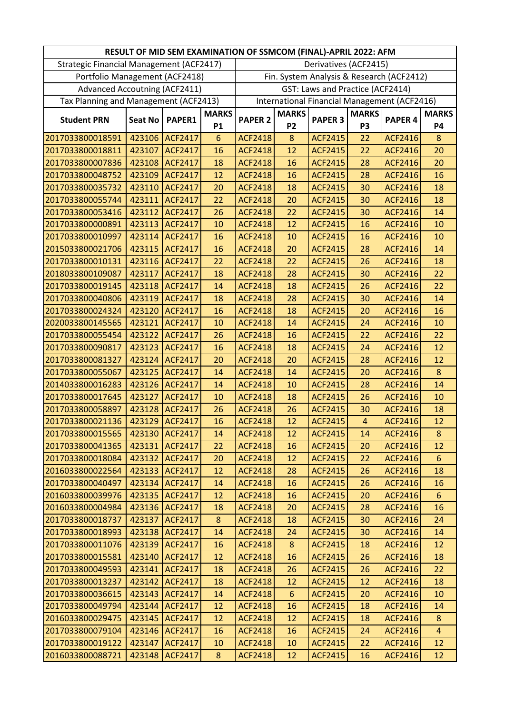|                                          |                |                |              | RESULT OF MID SEM EXAMINATION OF SSMCOM (FINAL)-APRIL 2022: AFM |                |                                  |                |                                              |                |
|------------------------------------------|----------------|----------------|--------------|-----------------------------------------------------------------|----------------|----------------------------------|----------------|----------------------------------------------|----------------|
| Strategic Financial Management (ACF2417) |                |                |              |                                                                 |                | Derivatives (ACF2415)            |                |                                              |                |
| Portfolio Management (ACF2418)           |                |                |              |                                                                 |                |                                  |                | Fin. System Analysis & Research (ACF2412)    |                |
| <b>Advanced Accoutning (ACF2411)</b>     |                |                |              |                                                                 |                | GST: Laws and Practice (ACF2414) |                |                                              |                |
| Tax Planning and Management (ACF2413)    |                |                |              |                                                                 |                |                                  |                | International Financial Management (ACF2416) |                |
|                                          |                |                | <b>MARKS</b> |                                                                 | <b>MARKS</b>   |                                  | <b>MARKS</b>   |                                              | <b>MARKS</b>   |
| <b>Student PRN</b>                       | <b>Seat No</b> | PAPER1         | <b>P1</b>    | <b>PAPER 2</b>                                                  | P <sub>2</sub> | <b>PAPER 3</b>                   | P <sub>3</sub> | PAPER <sub>4</sub>                           | <b>P4</b>      |
| 2017033800018591                         | 423106         | <b>ACF2417</b> | 6            | <b>ACF2418</b>                                                  | 8              | <b>ACF2415</b>                   | 22             | <b>ACF2416</b>                               | 8              |
| 2017033800018811                         | 423107         | <b>ACF2417</b> | 16           | <b>ACF2418</b>                                                  | 12             | <b>ACF2415</b>                   | 22             | <b>ACF2416</b>                               | 20             |
| 2017033800007836                         | 423108         | <b>ACF2417</b> | 18           | <b>ACF2418</b>                                                  | 16             | <b>ACF2415</b>                   | 28             | <b>ACF2416</b>                               | 20             |
| 2017033800048752                         | 423109         | <b>ACF2417</b> | 12           | <b>ACF2418</b>                                                  | 16             | <b>ACF2415</b>                   | 28             | <b>ACF2416</b>                               | 16             |
| 2017033800035732                         | 423110         | <b>ACF2417</b> | 20           | <b>ACF2418</b>                                                  | 18             | <b>ACF2415</b>                   | 30             | <b>ACF2416</b>                               | 18             |
| 2017033800055744                         | 423111         | <b>ACF2417</b> | 22           | <b>ACF2418</b>                                                  | 20             | <b>ACF2415</b>                   | 30             | <b>ACF2416</b>                               | 18             |
| 2017033800053416                         | 423112         | <b>ACF2417</b> | 26           | <b>ACF2418</b>                                                  | 22             | <b>ACF2415</b>                   | 30             | <b>ACF2416</b>                               | 14             |
| 2017033800000891                         | 423113         | <b>ACF2417</b> | 10           | <b>ACF2418</b>                                                  | 12             | <b>ACF2415</b>                   | 16             | ACF2416                                      | 10             |
| 2017033800010997                         | 423114         | <b>ACF2417</b> | 16           | <b>ACF2418</b>                                                  | 10             | <b>ACF2415</b>                   | 16             | <b>ACF2416</b>                               | 10             |
| 2015033800021706                         | 423115         | <b>ACF2417</b> | 16           | <b>ACF2418</b>                                                  | 20             | <b>ACF2415</b>                   | 28             | <b>ACF2416</b>                               | 14             |
| 2017033800010131                         | 423116         | <b>ACF2417</b> | 22           | <b>ACF2418</b>                                                  | 22             | <b>ACF2415</b>                   | 26             | <b>ACF2416</b>                               | 18             |
| 2018033800109087                         | 423117         | <b>ACF2417</b> | 18           | <b>ACF2418</b>                                                  | 28             | <b>ACF2415</b>                   | 30             | <b>ACF2416</b>                               | 22             |
| 2017033800019145                         | 423118         | <b>ACF2417</b> | 14           | <b>ACF2418</b>                                                  | 18             | <b>ACF2415</b>                   | 26             | <b>ACF2416</b>                               | 22             |
| 2017033800040806                         | 423119         | <b>ACF2417</b> | 18           | <b>ACF2418</b>                                                  | 28             | <b>ACF2415</b>                   | 30             | <b>ACF2416</b>                               | 14             |
| 2017033800024324                         | 423120         | <b>ACF2417</b> | 16           | <b>ACF2418</b>                                                  | 18             | <b>ACF2415</b>                   | 20             | <b>ACF2416</b>                               | 16             |
| 2020033800145565                         | 423121         | <b>ACF2417</b> | 10           | <b>ACF2418</b>                                                  | 14             | <b>ACF2415</b>                   | 24             | <b>ACF2416</b>                               | 10             |
| 2017033800055454                         | 423122         | <b>ACF2417</b> | 26           | <b>ACF2418</b>                                                  | 16             | <b>ACF2415</b>                   | 22             | <b>ACF2416</b>                               | 22             |
| 2017033800090817                         | 423123         | <b>ACF2417</b> | 16           | <b>ACF2418</b>                                                  | 18             | <b>ACF2415</b>                   | 24             | <b>ACF2416</b>                               | 12             |
| 2017033800081327                         | 423124         | <b>ACF2417</b> | 20           | <b>ACF2418</b>                                                  | 20             | <b>ACF2415</b>                   | 28             | <b>ACF2416</b>                               | 12             |
| 2017033800055067                         | 423125         | <b>ACF2417</b> | 14           | <b>ACF2418</b>                                                  | 14             | <b>ACF2415</b>                   | 20             | ACF2416                                      | 8              |
| 2014033800016283                         | 423126         | <b>ACF2417</b> | 14           | <b>ACF2418</b>                                                  | 10             | <b>ACF2415</b>                   | 28             | <b>ACF2416</b>                               | 14             |
| 2017033800017645                         | 423127         | <b>ACF2417</b> | 10           | <b>ACF2418</b>                                                  | 18             | <b>ACF2415</b>                   | 26             | <b>ACF2416</b>                               | 10             |
| 2017033800058897                         | 423128         | <b>ACF2417</b> | 26           | <b>ACF2418</b>                                                  | 26             | <b>ACF2415</b>                   | 30             | <b>ACF2416</b>                               | 18             |
| 2017033800021136                         | 423129         | <b>ACF2417</b> | 16           | <b>ACF2418</b>                                                  | 12             | <b>ACF2415</b>                   | $\overline{4}$ | <b>ACF2416</b>                               | 12             |
| 2017033800015565                         | 423130         | <b>ACF2417</b> | 14           | ACF2418                                                         | 12             | <b>ACF2415</b>                   | 14             | <b>ACF2416</b>                               | 8              |
| 2017033800041365                         | 423131         | <b>ACF2417</b> | 22           | <b>ACF2418</b>                                                  | 16             | <b>ACF2415</b>                   | 20             | <b>ACF2416</b>                               | 12             |
| 2017033800018084                         | 423132         | ACF2417        | 20           | <b>ACF2418</b>                                                  | 12             | <b>ACF2415</b>                   | 22             | <b>ACF2416</b>                               | 6              |
| 2016033800022564                         | 423133         | <b>ACF2417</b> | 12           | <b>ACF2418</b>                                                  | 28             | <b>ACF2415</b>                   | 26             | <b>ACF2416</b>                               | 18             |
| 2017033800040497                         | 423134         | <b>ACF2417</b> | 14           | <b>ACF2418</b>                                                  | 16             | <b>ACF2415</b>                   | 26             | <b>ACF2416</b>                               | 16             |
| 2016033800039976                         | 423135         | <b>ACF2417</b> | 12           | <b>ACF2418</b>                                                  | 16             | <b>ACF2415</b>                   | 20             | <b>ACF2416</b>                               | 6              |
| 2016033800004984                         | 423136         | <b>ACF2417</b> | 18           | <b>ACF2418</b>                                                  | 20             | <b>ACF2415</b>                   | 28             | <b>ACF2416</b>                               | 16             |
| 2017033800018737                         | 423137         | <b>ACF2417</b> | 8            | <b>ACF2418</b>                                                  | 18             | <b>ACF2415</b>                   | 30             | <b>ACF2416</b>                               | 24             |
| 2017033800018993                         | 423138         | <b>ACF2417</b> | 14           | <b>ACF2418</b>                                                  | 24             | <b>ACF2415</b>                   | 30             | <b>ACF2416</b>                               | 14             |
| 2017033800011076                         | 423139         | <b>ACF2417</b> | 16           | <b>ACF2418</b>                                                  | 8              | <b>ACF2415</b>                   | 18             | <b>ACF2416</b>                               | 12             |
| 2017033800015581                         | 423140         | <b>ACF2417</b> | 12           | <b>ACF2418</b>                                                  | 16             | <b>ACF2415</b>                   | 26             | <b>ACF2416</b>                               | 18             |
| 2017033800049593                         | 423141         | <b>ACF2417</b> | 18           | <b>ACF2418</b>                                                  | 26             | <b>ACF2415</b>                   | 26             | ACF2416                                      | 22             |
| 2017033800013237                         | 423142         | <b>ACF2417</b> | 18           | <b>ACF2418</b>                                                  | 12             | <b>ACF2415</b>                   | 12             | <b>ACF2416</b>                               | 18             |
| 2017033800036615                         | 423143         | <b>ACF2417</b> | 14           | <b>ACF2418</b>                                                  | $6\phantom{1}$ | <b>ACF2415</b>                   | 20             | <b>ACF2416</b>                               | 10             |
| 2017033800049794                         | 423144         | ACF2417        | 12           | <b>ACF2418</b>                                                  | 16             | <b>ACF2415</b>                   | 18             | <b>ACF2416</b>                               | 14             |
| 2016033800029475                         | 423145         | <b>ACF2417</b> | 12           | <b>ACF2418</b>                                                  | 12             | <b>ACF2415</b>                   | 18             | <b>ACF2416</b>                               | 8              |
| 2017033800079104                         | 423146         | <b>ACF2417</b> | 16           | <b>ACF2418</b>                                                  | 16             | <b>ACF2415</b>                   | 24             | <b>ACF2416</b>                               | $\overline{4}$ |
| 2017033800019122                         | 423147         | <b>ACF2417</b> | 10           | <b>ACF2418</b>                                                  | 10             | <b>ACF2415</b>                   | 22             | <b>ACF2416</b>                               | 12             |
| 2016033800088721                         | 423148         | <b>ACF2417</b> | $\bf 8$      | <b>ACF2418</b>                                                  | 12             | <b>ACF2415</b>                   | 16             | ACF2416                                      | 12             |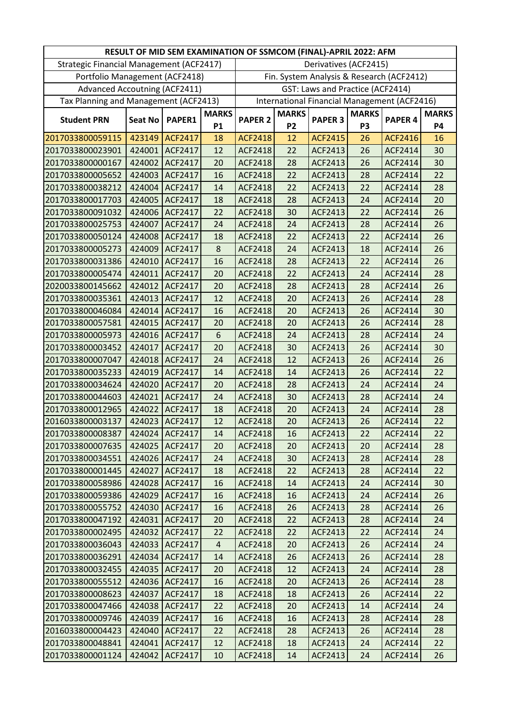|                                          |                |                |              | RESULT OF MID SEM EXAMINATION OF SSMCOM (FINAL)-APRIL 2022: AFM |              |                                  |                |                                              |              |
|------------------------------------------|----------------|----------------|--------------|-----------------------------------------------------------------|--------------|----------------------------------|----------------|----------------------------------------------|--------------|
| Strategic Financial Management (ACF2417) |                |                |              |                                                                 |              | Derivatives (ACF2415)            |                |                                              |              |
| Portfolio Management (ACF2418)           |                |                |              |                                                                 |              |                                  |                | Fin. System Analysis & Research (ACF2412)    |              |
| <b>Advanced Accoutning (ACF2411)</b>     |                |                |              |                                                                 |              | GST: Laws and Practice (ACF2414) |                |                                              |              |
| Tax Planning and Management (ACF2413)    |                |                |              |                                                                 |              |                                  |                | International Financial Management (ACF2416) |              |
|                                          |                |                | <b>MARKS</b> |                                                                 | <b>MARKS</b> |                                  | <b>MARKS</b>   |                                              | <b>MARKS</b> |
| <b>Student PRN</b>                       | <b>Seat No</b> | PAPER1         | <b>P1</b>    | <b>PAPER 2</b>                                                  | <b>P2</b>    | <b>PAPER 3</b>                   | P <sub>3</sub> | PAPER <sub>4</sub>                           | <b>P4</b>    |
| 2017033800059115                         | 423149         | <b>ACF2417</b> | 18           | <b>ACF2418</b>                                                  | 12           | <b>ACF2415</b>                   | 26             | <b>ACF2416</b>                               | 16           |
| 2017033800023901                         | 424001         | ACF2417        | 12           | <b>ACF2418</b>                                                  | 22           | ACF2413                          | 26             | <b>ACF2414</b>                               | 30           |
| 2017033800000167                         | 424002         | ACF2417        | 20           | ACF2418                                                         | 28           | ACF2413                          | 26             | ACF2414                                      | 30           |
| 2017033800005652                         | 424003         | ACF2417        | 16           | <b>ACF2418</b>                                                  | 22           | ACF2413                          | 28             | ACF2414                                      | 22           |
| 2017033800038212                         | 424004         | ACF2417        | 14           | <b>ACF2418</b>                                                  | 22           | ACF2413                          | 22             | ACF2414                                      | 28           |
| 2017033800017703                         | 424005         | ACF2417        | 18           | ACF2418                                                         | 28           | ACF2413                          | 24             | ACF2414                                      | 20           |
| 2017033800091032                         | 424006         | ACF2417        | 22           | <b>ACF2418</b>                                                  | 30           | ACF2413                          | 22             | ACF2414                                      | 26           |
| 2017033800025753                         | 424007         | <b>ACF2417</b> | 24           | <b>ACF2418</b>                                                  | 24           | <b>ACF2413</b>                   | 28             | ACF2414                                      | 26           |
| 2017033800050124                         | 424008         | ACF2417        | 18           | <b>ACF2418</b>                                                  | 22           | ACF2413                          | 22             | ACF2414                                      | 26           |
| 2017033800005273                         | 424009         | ACF2417        | 8            | <b>ACF2418</b>                                                  | 24           | ACF2413                          | 18             | ACF2414                                      | 26           |
| 2017033800031386                         | 424010         | ACF2417        | 16           | <b>ACF2418</b>                                                  | 28           | ACF2413                          | 22             | ACF2414                                      | 26           |
| 2017033800005474                         | 424011         | ACF2417        | 20           | <b>ACF2418</b>                                                  | 22           | ACF2413                          | 24             | ACF2414                                      | 28           |
| 2020033800145662                         | 424012         | ACF2417        | 20           | ACF2418                                                         | 28           | ACF2413                          | 28             | ACF2414                                      | 26           |
| 2017033800035361                         | 424013         | ACF2417        | 12           | <b>ACF2418</b>                                                  | 20           | ACF2413                          | 26             | ACF2414                                      | 28           |
| 2017033800046084                         | 424014         | <b>ACF2417</b> | 16           | <b>ACF2418</b>                                                  | 20           | ACF2413                          | 26             | <b>ACF2414</b>                               | 30           |
| 2017033800057581                         | 424015         | ACF2417        | 20           | <b>ACF2418</b>                                                  | 20           | ACF2413                          | 26             | ACF2414                                      | 28           |
| 2017033800005973                         | 424016         | <b>ACF2417</b> | 6            | <b>ACF2418</b>                                                  | 24           | ACF2413                          | 28             | ACF2414                                      | 24           |
| 2017033800003452                         | 424017         | ACF2417        | 20           | <b>ACF2418</b>                                                  | 30           | ACF2413                          | 26             | ACF2414                                      | 30           |
| 2017033800007047                         | 424018         | ACF2417        | 24           | <b>ACF2418</b>                                                  | 12           | ACF2413                          | 26             | <b>ACF2414</b>                               | 26           |
| 2017033800035233                         | 424019         | ACF2417        | 14           | <b>ACF2418</b>                                                  | 14           | ACF2413                          | 26             | ACF2414                                      | 22           |
| 2017033800034624                         | 424020         | ACF2417        | 20           | <b>ACF2418</b>                                                  | 28           | ACF2413                          | 24             | ACF2414                                      | 24           |
| 2017033800044603                         | 424021         | ACF2417        | 24           | ACF2418                                                         | 30           | ACF2413                          | 28             | ACF2414                                      | 24           |
| 2017033800012965                         | 424022         | ACF2417        | 18           | <b>ACF2418</b>                                                  | 20           | ACF2413                          | 24             | ACF2414                                      | 28           |
| 2016033800003137                         |                | 424023 ACF2417 | 12           | <b>ACF2418</b>                                                  | 20           | <b>ACF2413</b>                   | 26             | <b>ACF2414</b>                               | 22           |
| 2017033800008387                         |                | 424024 ACF2417 | 14           | ACF2418                                                         | 16           | ACF2413                          | 22             | ACF2414                                      | 22           |
| 2017033800007635                         | 424025         | <b>ACF2417</b> | 20           | <b>ACF2418</b>                                                  | 20           | ACF2413                          | 20             | ACF2414                                      | 28           |
| 2017033800034551                         | 424026         | <b>ACF2417</b> | 24           | <b>ACF2418</b>                                                  | 30           | ACF2413                          | 28             | ACF2414                                      | 28           |
| 2017033800001445                         | 424027         | ACF2417        | 18           | ACF2418                                                         | 22           | ACF2413                          | 28             | ACF2414                                      | 22           |
| 2017033800058986                         | 424028         | <b>ACF2417</b> | 16           | ACF2418                                                         | 14           | ACF2413                          | 24             | ACF2414                                      | 30           |
| 2017033800059386                         | 424029         | <b>ACF2417</b> | 16           | ACF2418                                                         | 16           | ACF2413                          | 24             | ACF2414                                      | 26           |
| 2017033800055752                         | 424030         | <b>ACF2417</b> | 16           | ACF2418                                                         | 26           | ACF2413                          | 28             | ACF2414                                      | 26           |
| 2017033800047192                         | 424031         | <b>ACF2417</b> | 20           | ACF2418                                                         | 22           | ACF2413                          | 28             | ACF2414                                      | 24           |
| 2017033800002495                         | 424032         | <b>ACF2417</b> | 22           | <b>ACF2418</b>                                                  | 22           | ACF2413                          | 22             | <b>ACF2414</b>                               | 24           |
| 2017033800036043                         | 424033         | ACF2417        | 4            | <b>ACF2418</b>                                                  | 20           | ACF2413                          | 26             | ACF2414                                      | 24           |
| 2017033800036291                         | 424034         | <b>ACF2417</b> | 14           | <b>ACF2418</b>                                                  | 26           | ACF2413                          | 26             | ACF2414                                      | 28           |
| 2017033800032455                         | 424035         | <b>ACF2417</b> | 20           | <b>ACF2418</b>                                                  | 12           | ACF2413                          | 24             | ACF2414                                      | 28           |
| 2017033800055512                         | 424036         | <b>ACF2417</b> | 16           | <b>ACF2418</b>                                                  | 20           | ACF2413                          | 26             | ACF2414                                      | 28           |
| 2017033800008623                         | 424037         | <b>ACF2417</b> | 18           | <b>ACF2418</b>                                                  | 18           | ACF2413                          | 26             | ACF2414                                      | 22           |
| 2017033800047466                         | 424038         | <b>ACF2417</b> | 22           | ACF2418                                                         | 20           | ACF2413                          | 14             | ACF2414                                      | 24           |
| 2017033800009746                         | 424039         | ACF2417        | 16           | <b>ACF2418</b>                                                  | 16           | ACF2413                          | 28             | ACF2414                                      | 28           |
| 2016033800004423                         | 424040         | ACF2417        | 22           | <b>ACF2418</b>                                                  | 28           | ACF2413                          | 26             | ACF2414                                      | 28           |
| 2017033800048841                         | 424041         | ACF2417        | 12           | <b>ACF2418</b>                                                  | 18           | ACF2413                          | 24             | ACF2414                                      | 22           |
| 2017033800001124                         | 424042         | ACF2417        | 10           | ACF2418                                                         | 14           | <b>ACF2413</b>                   | 24             | ACF2414                                      | 26           |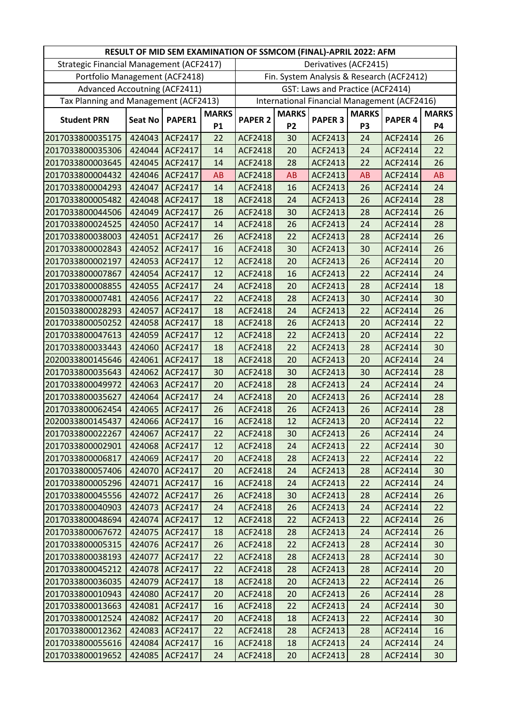|                                          |                |                |              | RESULT OF MID SEM EXAMINATION OF SSMCOM (FINAL)-APRIL 2022: AFM |              |                                  |                |                                              |              |
|------------------------------------------|----------------|----------------|--------------|-----------------------------------------------------------------|--------------|----------------------------------|----------------|----------------------------------------------|--------------|
| Strategic Financial Management (ACF2417) |                |                |              |                                                                 |              | Derivatives (ACF2415)            |                |                                              |              |
| Portfolio Management (ACF2418)           |                |                |              |                                                                 |              |                                  |                | Fin. System Analysis & Research (ACF2412)    |              |
| <b>Advanced Accoutning (ACF2411)</b>     |                |                |              |                                                                 |              | GST: Laws and Practice (ACF2414) |                |                                              |              |
| Tax Planning and Management (ACF2413)    |                |                |              |                                                                 |              |                                  |                | International Financial Management (ACF2416) |              |
|                                          |                |                | <b>MARKS</b> |                                                                 | <b>MARKS</b> |                                  | <b>MARKS</b>   |                                              | <b>MARKS</b> |
| <b>Student PRN</b>                       | <b>Seat No</b> | PAPER1         | <b>P1</b>    | <b>PAPER 2</b>                                                  | <b>P2</b>    | <b>PAPER 3</b>                   | P <sub>3</sub> | PAPER <sub>4</sub>                           | <b>P4</b>    |
| 2017033800035175                         | 424043         | ACF2417        | 22           | <b>ACF2418</b>                                                  | 30           | ACF2413                          | 24             | ACF2414                                      | 26           |
| 2017033800035306                         | 424044         | ACF2417        | 14           | <b>ACF2418</b>                                                  | 20           | ACF2413                          | 24             | <b>ACF2414</b>                               | 22           |
| 2017033800003645                         | 424045         | <b>ACF2417</b> | 14           | <b>ACF2418</b>                                                  | 28           | ACF2413                          | 22             | ACF2414                                      | 26           |
| 2017033800004432                         | 424046         | ACF2417        | <b>AB</b>    | <b>ACF2418</b>                                                  | AB           | ACF2413                          | <b>AB</b>      | ACF2414                                      | AB           |
| 2017033800004293                         | 424047         | <b>ACF2417</b> | 14           | <b>ACF2418</b>                                                  | 16           | ACF2413                          | 26             | ACF2414                                      | 24           |
| 2017033800005482                         | 424048         | ACF2417        | 18           | ACF2418                                                         | 24           | ACF2413                          | 26             | ACF2414                                      | 28           |
| 2017033800044506                         | 424049         | ACF2417        | 26           | <b>ACF2418</b>                                                  | 30           | ACF2413                          | 28             | ACF2414                                      | 26           |
| 2017033800024525                         | 424050         | <b>ACF2417</b> | 14           | <b>ACF2418</b>                                                  | 26           | <b>ACF2413</b>                   | 24             | ACF2414                                      | 28           |
| 2017033800038003                         | 424051         | <b>ACF2417</b> | 26           | <b>ACF2418</b>                                                  | 22           | ACF2413                          | 28             | ACF2414                                      | 26           |
| 2017033800002843                         | 424052         | <b>ACF2417</b> | 16           | <b>ACF2418</b>                                                  | 30           | ACF2413                          | 30             | ACF2414                                      | 26           |
| 2017033800002197                         | 424053         | ACF2417        | 12           | <b>ACF2418</b>                                                  | 20           | ACF2413                          | 26             | ACF2414                                      | 20           |
| 2017033800007867                         | 424054         | ACF2417        | 12           | <b>ACF2418</b>                                                  | 16           | ACF2413                          | 22             | ACF2414                                      | 24           |
| 2017033800008855                         | 424055         | <b>ACF2417</b> | 24           | ACF2418                                                         | 20           | ACF2413                          | 28             | ACF2414                                      | 18           |
| 2017033800007481                         | 424056         | ACF2417        | 22           | <b>ACF2418</b>                                                  | 28           | ACF2413                          | 30             | ACF2414                                      | 30           |
| 2015033800028293                         | 424057         | <b>ACF2417</b> | 18           | <b>ACF2418</b>                                                  | 24           | ACF2413                          | 22             | <b>ACF2414</b>                               | 26           |
| 2017033800050252                         | 424058         | <b>ACF2417</b> | 18           | <b>ACF2418</b>                                                  | 26           | ACF2413                          | 20             | ACF2414                                      | 22           |
| 2017033800047613                         | 424059         | <b>ACF2417</b> | 12           | <b>ACF2418</b>                                                  | 22           | ACF2413                          | 20             | ACF2414                                      | 22           |
| 2017033800033443                         | 424060         | ACF2417        | 18           | <b>ACF2418</b>                                                  | 22           | ACF2413                          | 28             | ACF2414                                      | 30           |
| 2020033800145646                         | 424061         | ACF2417        | 18           | <b>ACF2418</b>                                                  | 20           | ACF2413                          | 20             | <b>ACF2414</b>                               | 24           |
| 2017033800035643                         | 424062         | ACF2417        | 30           | <b>ACF2418</b>                                                  | 30           | ACF2413                          | 30             | ACF2414                                      | 28           |
| 2017033800049972                         | 424063         | ACF2417        | 20           | <b>ACF2418</b>                                                  | 28           | ACF2413                          | 24             | ACF2414                                      | 24           |
| 2017033800035627                         | 424064         | ACF2417        | 24           | <b>ACF2418</b>                                                  | 20           | ACF2413                          | 26             | ACF2414                                      | 28           |
| 2017033800062454                         | 424065         | ACF2417        | 26           | <b>ACF2418</b>                                                  | 26           | ACF2413                          | 26             | ACF2414                                      | 28           |
| 2020033800145437                         |                | 424066 ACF2417 | 16           | <b>ACF2418</b>                                                  | 12           | ACF2413                          | 20             | <b>ACF2414</b>                               | 22           |
| 2017033800022267                         | 424067         | ACF2417        | 22           | ACF2418                                                         | 30           | ACF2413                          | 26             | ACF2414                                      | 24           |
| 2017033800002901                         | 424068         | <b>ACF2417</b> | 12           | <b>ACF2418</b>                                                  | 24           | ACF2413                          | 22             | ACF2414                                      | 30           |
| 2017033800006817                         | 424069         | ACF2417        | 20           | <b>ACF2418</b>                                                  | 28           | ACF2413                          | 22             | ACF2414                                      | 22           |
| 2017033800057406                         | 424070         | ACF2417        | 20           | <b>ACF2418</b>                                                  | 24           | ACF2413                          | 28             | ACF2414                                      | 30           |
| 2017033800005296                         | 424071         | ACF2417        | 16           | ACF2418                                                         | 24           | ACF2413                          | 22             | ACF2414                                      | 24           |
| 2017033800045556                         | 424072         | <b>ACF2417</b> | 26           | ACF2418                                                         | 30           | ACF2413                          | 28             | ACF2414                                      | 26           |
| 2017033800040903                         | 424073         | ACF2417        | 24           | <b>ACF2418</b>                                                  | 26           | ACF2413                          | 24             | ACF2414                                      | 22           |
| 2017033800048694                         | 424074         | ACF2417        | 12           | ACF2418                                                         | 22           | ACF2413                          | 22             | ACF2414                                      | 26           |
| 2017033800067672                         | 424075         | ACF2417        | 18           | <b>ACF2418</b>                                                  | 28           | ACF2413                          | 24             | <b>ACF2414</b>                               | 26           |
| 2017033800005315                         | 424076         | ACF2417        | 26           | ACF2418                                                         | 22           | ACF2413                          | 28             | ACF2414                                      | 30           |
| 2017033800038193                         | 424077         | ACF2417        | 22           | <b>ACF2418</b>                                                  | 28           | ACF2413                          | 28             | ACF2414                                      | 30           |
| 2017033800045212                         | 424078         | ACF2417        | 22           | <b>ACF2418</b>                                                  | 28           | ACF2413                          | 28             | ACF2414                                      | 20           |
| 2017033800036035                         | 424079         | ACF2417        | 18           | <b>ACF2418</b>                                                  | 20           | ACF2413                          | 22             | ACF2414                                      | 26           |
| 2017033800010943                         | 424080         | <b>ACF2417</b> | 20           | <b>ACF2418</b>                                                  | 20           | ACF2413                          | 26             | ACF2414                                      | 28           |
| 2017033800013663                         | 424081         | ACF2417        | 16           | <b>ACF2418</b>                                                  | 22           | ACF2413                          | 24             | ACF2414                                      | 30           |
| 2017033800012524                         | 424082         | ACF2417        | 20           | <b>ACF2418</b>                                                  | 18           | ACF2413                          | 22             | ACF2414                                      | 30           |
| 2017033800012362                         | 424083         | ACF2417        | 22           | <b>ACF2418</b>                                                  | 28           | ACF2413                          | 28             | ACF2414                                      | 16           |
| 2017033800055616                         | 424084         | ACF2417        | 16           | <b>ACF2418</b>                                                  | 18           | ACF2413                          | 24             | ACF2414                                      | 24           |
| 2017033800019652                         | 424085         | <b>ACF2417</b> | 24           | ACF2418                                                         | 20           | <b>ACF2413</b>                   | 28             | ACF2414                                      | 30           |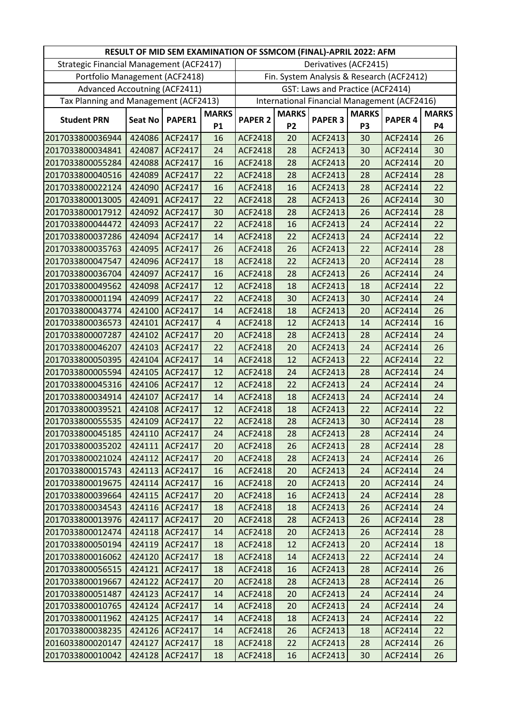|                                          |                |                |                | RESULT OF MID SEM EXAMINATION OF SSMCOM (FINAL)-APRIL 2022: AFM |              |                                  |                |                                              |              |
|------------------------------------------|----------------|----------------|----------------|-----------------------------------------------------------------|--------------|----------------------------------|----------------|----------------------------------------------|--------------|
| Strategic Financial Management (ACF2417) |                |                |                |                                                                 |              | Derivatives (ACF2415)            |                |                                              |              |
| Portfolio Management (ACF2418)           |                |                |                |                                                                 |              |                                  |                | Fin. System Analysis & Research (ACF2412)    |              |
| <b>Advanced Accoutning (ACF2411)</b>     |                |                |                |                                                                 |              | GST: Laws and Practice (ACF2414) |                |                                              |              |
| Tax Planning and Management (ACF2413)    |                |                |                |                                                                 |              |                                  |                | International Financial Management (ACF2416) |              |
|                                          |                |                | <b>MARKS</b>   |                                                                 | <b>MARKS</b> |                                  | <b>MARKS</b>   |                                              | <b>MARKS</b> |
| <b>Student PRN</b>                       | <b>Seat No</b> | PAPER1         | <b>P1</b>      | <b>PAPER 2</b>                                                  | <b>P2</b>    | <b>PAPER 3</b>                   | P <sub>3</sub> | PAPER <sub>4</sub>                           | <b>P4</b>    |
| 2017033800036944                         | 424086         | ACF2417        | 16             | <b>ACF2418</b>                                                  | 20           | ACF2413                          | 30             | ACF2414                                      | 26           |
| 2017033800034841                         | 424087         | ACF2417        | 24             | <b>ACF2418</b>                                                  | 28           | ACF2413                          | 30             | ACF2414                                      | 30           |
| 2017033800055284                         | 424088         | ACF2417        | 16             | ACF2418                                                         | 28           | ACF2413                          | 20             | ACF2414                                      | 20           |
| 2017033800040516                         | 424089         | ACF2417        | 22             | <b>ACF2418</b>                                                  | 28           | ACF2413                          | 28             | ACF2414                                      | 28           |
| 2017033800022124                         | 424090         | ACF2417        | 16             | <b>ACF2418</b>                                                  | 16           | ACF2413                          | 28             | ACF2414                                      | 22           |
| 2017033800013005                         | 424091         | ACF2417        | 22             | <b>ACF2418</b>                                                  | 28           | ACF2413                          | 26             | ACF2414                                      | 30           |
| 2017033800017912                         | 424092         | ACF2417        | 30             | <b>ACF2418</b>                                                  | 28           | ACF2413                          | 26             | ACF2414                                      | 28           |
| 2017033800044472                         | 424093         | ACF2417        | 22             | <b>ACF2418</b>                                                  | 16           | <b>ACF2413</b>                   | 24             | ACF2414                                      | 22           |
| 2017033800037286                         | 424094         | ACF2417        | 14             | <b>ACF2418</b>                                                  | 22           | ACF2413                          | 24             | ACF2414                                      | 22           |
| 2017033800035763                         | 424095         | ACF2417        | 26             | ACF2418                                                         | 26           | ACF2413                          | 22             | ACF2414                                      | 28           |
| 2017033800047547                         | 424096         | ACF2417        | 18             | <b>ACF2418</b>                                                  | 22           | ACF2413                          | 20             | ACF2414                                      | 28           |
| 2017033800036704                         | 424097         | ACF2417        | 16             | <b>ACF2418</b>                                                  | 28           | ACF2413                          | 26             | ACF2414                                      | 24           |
| 2017033800049562                         | 424098         | ACF2417        | 12             | <b>ACF2418</b>                                                  | 18           | ACF2413                          | 18             | ACF2414                                      | 22           |
| 2017033800001194                         | 424099         | ACF2417        | 22             | <b>ACF2418</b>                                                  | 30           | ACF2413                          | 30             | ACF2414                                      | 24           |
| 2017033800043774                         | 424100         | <b>ACF2417</b> | 14             | <b>ACF2418</b>                                                  | 18           | ACF2413                          | 20             | <b>ACF2414</b>                               | 26           |
| 2017033800036573                         | 424101         | ACF2417        | $\overline{4}$ | <b>ACF2418</b>                                                  | 12           | ACF2413                          | 14             | ACF2414                                      | 16           |
| 2017033800007287                         | 424102         | <b>ACF2417</b> | 20             | <b>ACF2418</b>                                                  | 28           | ACF2413                          | 28             | ACF2414                                      | 24           |
| 2017033800046207                         | 424103         | ACF2417        | 22             | <b>ACF2418</b>                                                  | 20           | ACF2413                          | 24             | ACF2414                                      | 26           |
| 2017033800050395                         | 424104         | ACF2417        | 14             | <b>ACF2418</b>                                                  | 12           | ACF2413                          | 22             | ACF2414                                      | 22           |
| 2017033800005594                         | 424105         | <b>ACF2417</b> | 12             | <b>ACF2418</b>                                                  | 24           | ACF2413                          | 28             | ACF2414                                      | 24           |
| 2017033800045316                         | 424106         | ACF2417        | 12             | <b>ACF2418</b>                                                  | 22           | ACF2413                          | 24             | ACF2414                                      | 24           |
| 2017033800034914                         | 424107         | ACF2417        | 14             | <b>ACF2418</b>                                                  | 18           | ACF2413                          | 24             | ACF2414                                      | 24           |
| 2017033800039521                         | 424108         | ACF2417        | 12             | <b>ACF2418</b>                                                  | 18           | ACF2413                          | 22             | ACF2414                                      | 22           |
| 2017033800055535                         | 424109         | ACF2417        | 22             | <b>ACF2418</b>                                                  | 28           | ACF2413                          | 30             | <b>ACF2414</b>                               | 28           |
| 2017033800045185                         |                | 424110 ACF2417 | 24             | <b>ACF2418</b>                                                  | 28           | ACF2413                          | 28             | ACF2414                                      | 24           |
| 2017033800035202                         | 424111         | <b>ACF2417</b> | 20             | <b>ACF2418</b>                                                  | 26           | ACF2413                          | 28             | ACF2414                                      | 28           |
| 2017033800021024                         | 424112         | <b>ACF2417</b> | 20             | <b>ACF2418</b>                                                  | 28           | ACF2413                          | 24             | ACF2414                                      | 26           |
| 2017033800015743                         | 424113         | <b>ACF2417</b> | 16             | ACF2418                                                         | 20           | ACF2413                          | 24             | ACF2414                                      | 24           |
| 2017033800019675                         | 424114         | <b>ACF2417</b> | 16             | ACF2418                                                         | 20           | ACF2413                          | 20             | ACF2414                                      | 24           |
| 2017033800039664                         | 424115         | <b>ACF2417</b> | 20             | ACF2418                                                         | 16           | ACF2413                          | 24             | ACF2414                                      | 28           |
| 2017033800034543                         | 424116         | <b>ACF2417</b> | 18             | <b>ACF2418</b>                                                  | 18           | ACF2413                          | 26             | ACF2414                                      | 24           |
| 2017033800013976                         | 424117         | ACF2417        | 20             | <b>ACF2418</b>                                                  | 28           | ACF2413                          | 26             | ACF2414                                      | 28           |
| 2017033800012474                         | 424118         | <b>ACF2417</b> | 14             | <b>ACF2418</b>                                                  | 20           | ACF2413                          | 26             | ACF2414                                      | 28           |
| 2017033800050194                         | 424119         | ACF2417        | 18             | ACF2418                                                         | 12           | ACF2413                          | 20             | ACF2414                                      | 18           |
| 2017033800016062                         | 424120         | <b>ACF2417</b> | 18             | <b>ACF2418</b>                                                  | 14           | ACF2413                          | 22             | ACF2414                                      | 24           |
| 2017033800056515                         | 424121         | <b>ACF2417</b> | 18             | <b>ACF2418</b>                                                  | 16           | ACF2413                          | 28             | ACF2414                                      | 26           |
| 2017033800019667                         | 424122         | <b>ACF2417</b> | 20             | <b>ACF2418</b>                                                  | 28           | ACF2413                          | 28             | ACF2414                                      | 26           |
| 2017033800051487                         | 424123         | <b>ACF2417</b> | 14             | <b>ACF2418</b>                                                  | 20           | ACF2413                          | 24             | ACF2414                                      | 24           |
| 2017033800010765                         | 424124         | <b>ACF2417</b> | 14             | ACF2418                                                         | 20           | ACF2413                          | 24             | ACF2414                                      | 24           |
| 2017033800011962                         | 424125         | <b>ACF2417</b> | 14             | <b>ACF2418</b>                                                  | 18           | ACF2413                          | 24             | ACF2414                                      | 22           |
| 2017033800038235                         | 424126         | ACF2417        | 14             | <b>ACF2418</b>                                                  | 26           | ACF2413                          | 18             | ACF2414                                      | 22           |
| 2016033800020147                         | 424127         | ACF2417        | 18             | <b>ACF2418</b>                                                  | 22           | ACF2413                          | 28             | ACF2414                                      | 26           |
| 2017033800010042                         |                | 424128 ACF2417 | 18             | ACF2418                                                         | 16           | <b>ACF2413</b>                   | 30             | ACF2414                                      | 26           |